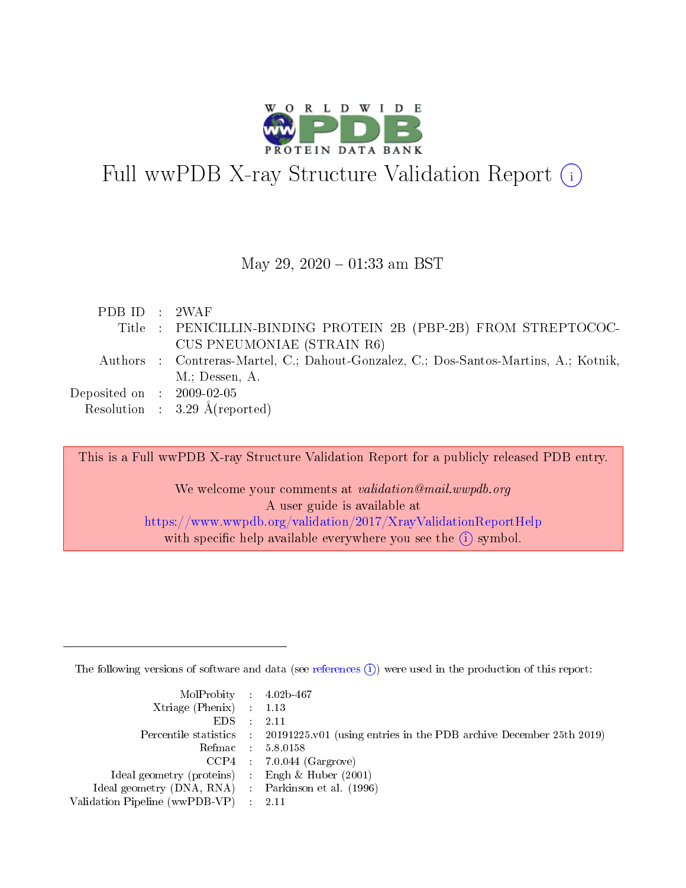

# Full wwPDB X-ray Structure Validation Report  $(i)$

### May 29,  $2020 - 01:33$  am BST

| PDB ID : 2WAF               |                                                                                      |
|-----------------------------|--------------------------------------------------------------------------------------|
|                             | Title: PENICILLIN-BINDING PROTEIN 2B (PBP-2B) FROM STREPTOCOC-                       |
|                             | <b>CUS PNEUMONIAE (STRAIN R6)</b>                                                    |
|                             | Authors : Contreras-Martel, C.; Dahout-Gonzalez, C.; Dos-Santos-Martins, A.; Kotnik, |
|                             | $M$ .; Dessen, A.                                                                    |
| Deposited on : $2009-02-05$ |                                                                                      |
|                             | Resolution : $3.29 \text{ Å}$ (reported)                                             |
|                             |                                                                                      |

This is a Full wwPDB X-ray Structure Validation Report for a publicly released PDB entry. We welcome your comments at *validation@mail.wwpdb.org* A user guide is available at

<https://www.wwpdb.org/validation/2017/XrayValidationReportHelp> with specific help available everywhere you see the  $(i)$  symbol.

The following versions of software and data (see [references](https://www.wwpdb.org/validation/2017/XrayValidationReportHelp#references)  $(i)$ ) were used in the production of this report:

| $MolProbability$ 4.02b-467<br>Xtriage (Phenix) $: 1.13$<br>$EDS$ : | -2.11                                                                                      |
|--------------------------------------------------------------------|--------------------------------------------------------------------------------------------|
|                                                                    | Percentile statistics : 20191225.v01 (using entries in the PDB archive December 25th 2019) |
|                                                                    | Refmac 58.0158                                                                             |
|                                                                    | $CCP4$ : 7.0.044 (Gargrove)                                                                |
| Ideal geometry (proteins) : Engh $\&$ Huber (2001)                 |                                                                                            |
| Ideal geometry (DNA, RNA) Parkinson et al. (1996)                  |                                                                                            |
| Validation Pipeline (wwPDB-VP) :                                   | -2.11                                                                                      |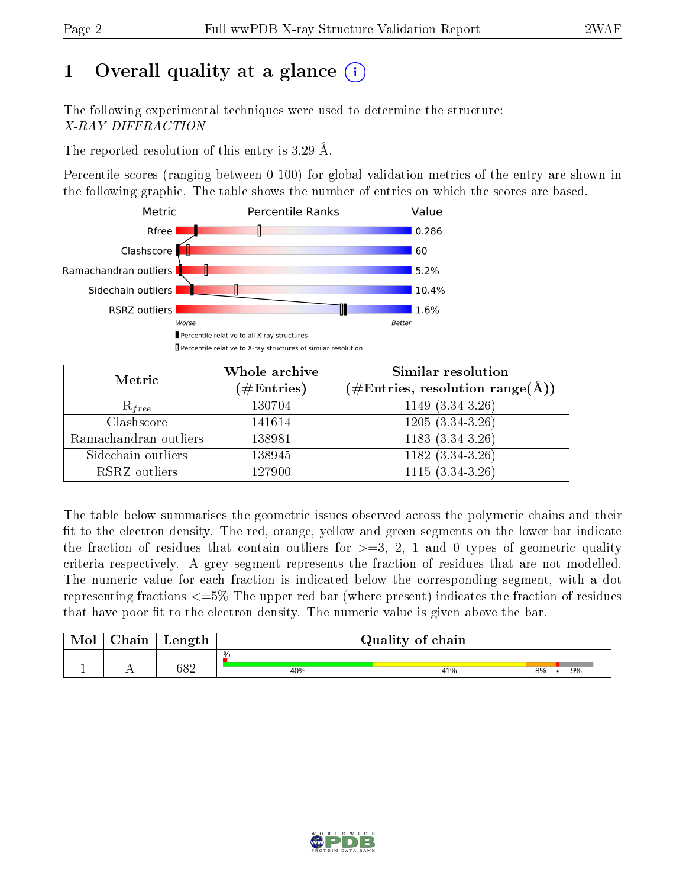# 1 [O](https://www.wwpdb.org/validation/2017/XrayValidationReportHelp#overall_quality)verall quality at a glance  $(i)$

The following experimental techniques were used to determine the structure: X-RAY DIFFRACTION

The reported resolution of this entry is 3.29 Å.

Percentile scores (ranging between 0-100) for global validation metrics of the entry are shown in the following graphic. The table shows the number of entries on which the scores are based.



| Metric                | Whole archive        | Similar resolution                                                     |
|-----------------------|----------------------|------------------------------------------------------------------------|
|                       | $(\#\text{Entries})$ | $(\#\text{Entries},\,\text{resolution}\,\,\text{range}(\textup{\AA}))$ |
| $R_{free}$            | 130704               | $1149(3.34-3.26)$                                                      |
| Clashscore            | 141614               | $1205(3.34-3.26)$                                                      |
| Ramachandran outliers | 138981               | $1183(3.34-3.26)$                                                      |
| Sidechain outliers    | 138945               | $1182(3.34-3.26)$                                                      |
| RSRZ outliers         | 127900               | $1115(3.34-3.26)$                                                      |

The table below summarises the geometric issues observed across the polymeric chains and their fit to the electron density. The red, orange, yellow and green segments on the lower bar indicate the fraction of residues that contain outliers for  $>=3, 2, 1$  and 0 types of geometric quality criteria respectively. A grey segment represents the fraction of residues that are not modelled. The numeric value for each fraction is indicated below the corresponding segment, with a dot representing fractions  $\epsilon=5\%$  The upper red bar (where present) indicates the fraction of residues that have poor fit to the electron density. The numeric value is given above the bar.

| ${\bf Chain}$ | Length | Quality of chain |     |          |  |  |
|---------------|--------|------------------|-----|----------|--|--|
|               | 30 ຕ   | $\%$<br>40%      | 41% | 9%<br>8% |  |  |

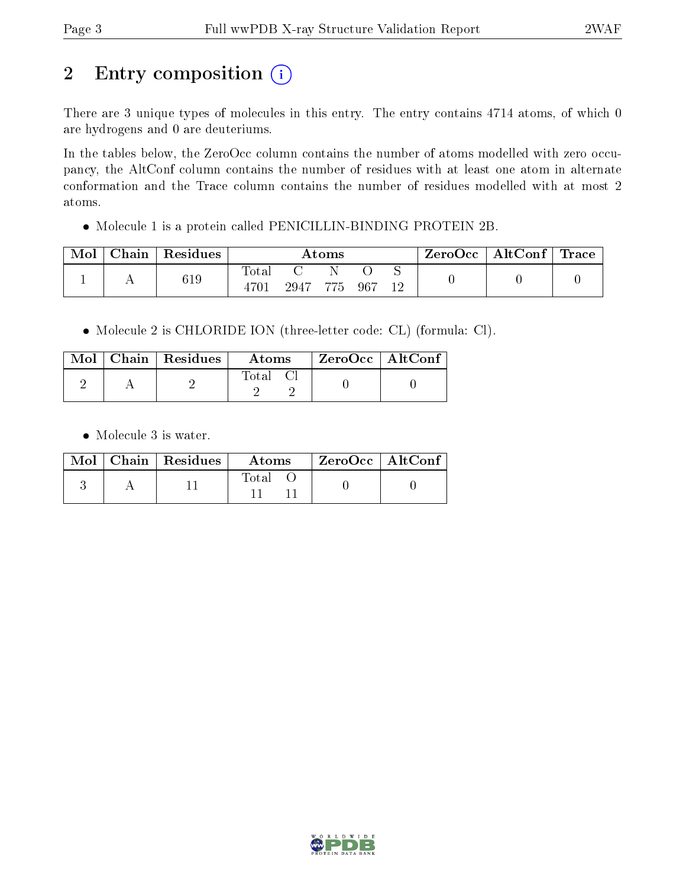# 2 Entry composition (i)

There are 3 unique types of molecules in this entry. The entry contains 4714 atoms, of which 0 are hydrogens and 0 are deuteriums.

In the tables below, the ZeroOcc column contains the number of atoms modelled with zero occupancy, the AltConf column contains the number of residues with at least one atom in alternate conformation and the Trace column contains the number of residues modelled with at most 2 atoms.

Molecule 1 is a protein called PENICILLIN-BINDING PROTEIN 2B.

| Mol | Chain | $\mathsf{Residues}$ | $\rm{Atoms}$        |          |  |       | $\mid$ ZeroOcc   AltConf   Trace |  |  |
|-----|-------|---------------------|---------------------|----------|--|-------|----------------------------------|--|--|
|     |       | 619                 | $\rm Total$<br>4701 | 2947 775 |  | - 967 | 12                               |  |  |

Molecule 2 is CHLORIDE ION (three-letter code: CL) (formula: Cl).

|  | $\text{Mol}$   Chain   Residues | Atoms   | $\mid$ ZeroOcc $\mid$ AltConf $\mid$ |  |
|--|---------------------------------|---------|--------------------------------------|--|
|  |                                 | Total C |                                      |  |

• Molecule 3 is water.

|  | $Mol$   Chain   Residues | Atoms | $ZeroOcc$   AltConf |
|--|--------------------------|-------|---------------------|
|  |                          | Total |                     |

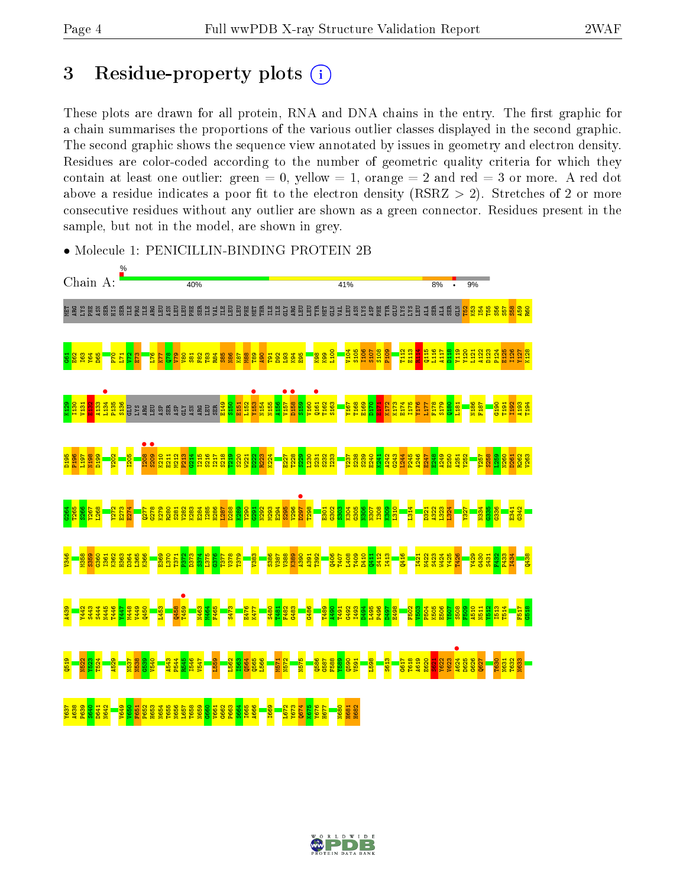# 3 Residue-property plots  $(i)$

These plots are drawn for all protein, RNA and DNA chains in the entry. The first graphic for a chain summarises the proportions of the various outlier classes displayed in the second graphic. The second graphic shows the sequence view annotated by issues in geometry and electron density. Residues are color-coded according to the number of geometric quality criteria for which they contain at least one outlier: green  $= 0$ , yellow  $= 1$ , orange  $= 2$  and red  $= 3$  or more. A red dot above a residue indicates a poor fit to the electron density (RSRZ  $> 2$ ). Stretches of 2 or more consecutive residues without any outlier are shown as a green connector. Residues present in the sample, but not in the model, are shown in grey.



• Molecule 1: PENICILLIN-BINDING PROTEIN 2B

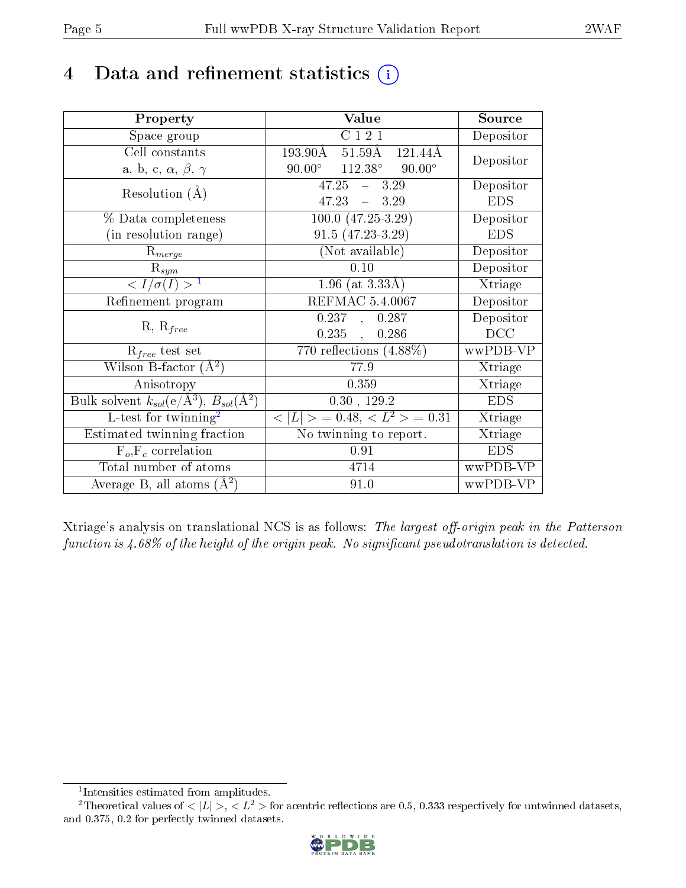# 4 Data and refinement statistics  $(i)$

| Property                                                             | Value                                                         | Source     |
|----------------------------------------------------------------------|---------------------------------------------------------------|------------|
| Space group                                                          | C121                                                          | Depositor  |
| Cell constants                                                       | $193.90\text{\AA}$<br>$51.59\text{\AA}$<br>$121.44\text{\AA}$ | Depositor  |
| a, b, c, $\alpha$ , $\beta$ , $\gamma$                               | $112.38^\circ$<br>$90.00^{\circ}$<br>$90.00^{\circ}$          |            |
| Resolution $(A)$                                                     | $47.25 - 3.29$                                                | Depositor  |
|                                                                      | $-3.29$<br>47.23                                              | <b>EDS</b> |
| $\%$ Data completeness                                               | $100.0 (47.25-3.29)$                                          | Depositor  |
| (in resolution range)                                                | $91.5(47.23-3.29)$                                            | <b>EDS</b> |
| $R_{merge}$                                                          | (Not available)                                               | Depositor  |
| $\mathrm{R}_{sym}$                                                   | 0.10                                                          | Depositor  |
| $\langle I/\sigma(I) \rangle^{-1}$                                   | 1.96 (at $3.33\AA$ )                                          | Xtriage    |
| Refinement program                                                   | <b>REFMAC 5.4.0067</b>                                        | Depositor  |
|                                                                      | 0.237<br>0.287<br>$\mathcal{A}^{\mathcal{A}}$                 | Depositor  |
| $R, R_{free}$                                                        | $0.235$ ,<br>0.286                                            | DCC        |
| $R_{free}$ test set                                                  | $\overline{770}$ reflections $(4.88\%)$                       | wwPDB-VP   |
| Wilson B-factor $(A^2)$                                              | 77.9                                                          | Xtriage    |
| Anisotropy                                                           | 0.359                                                         | Xtriage    |
| Bulk solvent $k_{sol}(e/\mathring{A}^3)$ , $B_{sol}(\mathring{A}^2)$ | 0.30, 129.2                                                   | <b>EDS</b> |
| L-test for $\overline{\text{twinning}}^2$                            | $< L >$ = 0.48, $< L2 >$ = 0.31                               | Xtriage    |
| Estimated twinning fraction                                          | No twinning to report.                                        | Xtriage    |
| $\overline{F_o}, \overline{F_c}$ correlation                         | 0.91                                                          | <b>EDS</b> |
| Total number of atoms                                                | 4714                                                          | wwPDB-VP   |
| Average B, all atoms $(A^2)$                                         | 91.0                                                          | wwPDB-VP   |

Xtriage's analysis on translational NCS is as follows: The largest off-origin peak in the Patterson function is  $4.68\%$  of the height of the origin peak. No significant pseudotranslation is detected.

<sup>&</sup>lt;sup>2</sup>Theoretical values of  $\langle |L| \rangle$ ,  $\langle L^2 \rangle$  for acentric reflections are 0.5, 0.333 respectively for untwinned datasets, and 0.375, 0.2 for perfectly twinned datasets.



<span id="page-4-1"></span><span id="page-4-0"></span><sup>1</sup> Intensities estimated from amplitudes.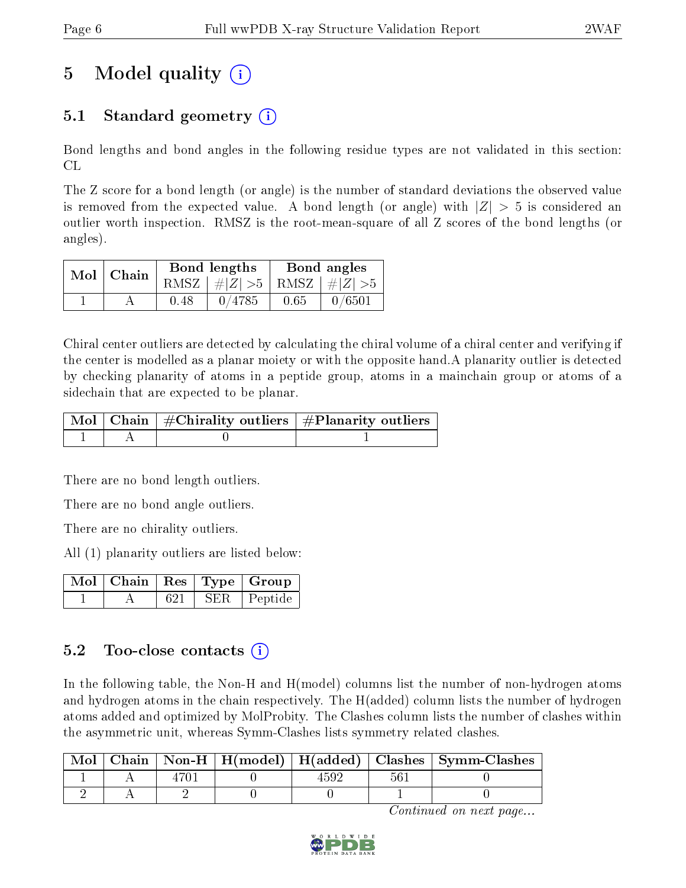# 5 Model quality  $(i)$

## 5.1 Standard geometry (i)

Bond lengths and bond angles in the following residue types are not validated in this section: CL

The Z score for a bond length (or angle) is the number of standard deviations the observed value is removed from the expected value. A bond length (or angle) with  $|Z| > 5$  is considered an outlier worth inspection. RMSZ is the root-mean-square of all Z scores of the bond lengths (or angles).

| $Mol$   Chain |      | Bond lengths                    | Bond angles |        |  |
|---------------|------|---------------------------------|-------------|--------|--|
|               |      | RMSZ $ #Z  > 5$ RMSZ $ #Z  > 5$ |             |        |  |
|               | 0.48 | 0/4785                          | 0.65        | 0/6501 |  |

Chiral center outliers are detected by calculating the chiral volume of a chiral center and verifying if the center is modelled as a planar moiety or with the opposite hand.A planarity outlier is detected by checking planarity of atoms in a peptide group, atoms in a mainchain group or atoms of a sidechain that are expected to be planar.

|  | $\mid$ Mol $\mid$ Chain $\mid$ #Chirality outliers $\mid$ #Planarity outliers $\mid$ |
|--|--------------------------------------------------------------------------------------|
|  |                                                                                      |

There are no bond length outliers.

There are no bond angle outliers.

There are no chirality outliers.

All (1) planarity outliers are listed below:

|  |     |       | $\blacksquare$ Mol $\vert$ Chain $\vert$ Res $\vert$ Type $\vert$ Group |
|--|-----|-------|-------------------------------------------------------------------------|
|  | 621 | SER . | Peptide                                                                 |

### 5.2 Too-close contacts  $(i)$

In the following table, the Non-H and H(model) columns list the number of non-hydrogen atoms and hydrogen atoms in the chain respectively. The H(added) column lists the number of hydrogen atoms added and optimized by MolProbity. The Clashes column lists the number of clashes within the asymmetric unit, whereas Symm-Clashes lists symmetry related clashes.

|  |  |  | Mol   Chain   Non-H   H(model)   H(added)   Clashes   Symm-Clashes |
|--|--|--|--------------------------------------------------------------------|
|  |  |  |                                                                    |
|  |  |  |                                                                    |

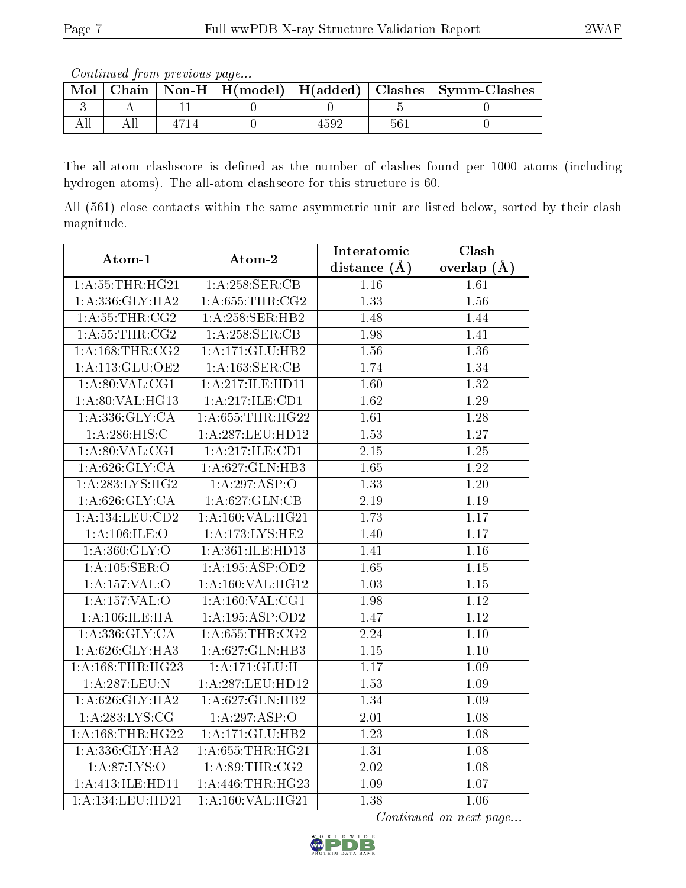Continued from previous page...

| Mol |  |  |     | Chain   Non-H   H(model)   H(added)   Clashes   Symm-Clashes |
|-----|--|--|-----|--------------------------------------------------------------|
|     |  |  |     |                                                              |
|     |  |  | 56. |                                                              |

The all-atom clashscore is defined as the number of clashes found per 1000 atoms (including hydrogen atoms). The all-atom clashscore for this structure is 60.

All (561) close contacts within the same asymmetric unit are listed below, sorted by their clash magnitude.

| Atom-1                | Atom-2                           | Interatomic       | $\overline{\text{Clash}}$ |
|-----------------------|----------------------------------|-------------------|---------------------------|
|                       |                                  | distance $(\AA)$  | overlap $(A)$             |
| 1: A:55:THR:HG21      | 1: A:258: <b>SER</b> : <b>CB</b> | 1.16              | 1.61                      |
| 1: A: 336: GLY: HA2   | 1: A:655:THR:CG2                 | 1.33              | 1.56                      |
| 1: A:55:THR:CG2       | 1:A:258:SER:HB2                  | 1.48              | 1.44                      |
| 1: A: 55: THR: CG2    | 1: A:258: SER:CB                 | 1.98              | 1.41                      |
| 1:A:168:THR:CG2       | 1:A:171:GLU:HB2                  | 1.56              | 1.36                      |
| $1:$ A:113:GLU:OE2    | 1:A:163:SER:CB                   | 1.74              | 1.34                      |
| 1: A:80: VAL:CG1      | 1:A:217:ILE:HD11                 | 1.60              | 1.32                      |
| 1: A:80: VAL: HG13    | 1: A:217: ILE: CD1               | 1.62              | 1.29                      |
| 1: A: 336: GLY: CA    | 1: A: 655: THR: HG22             | 1.61              | 1.28                      |
| 1:A:286:HIS:C         | 1:A:287:LEU:HD12                 | 1.53              | $\overline{1.27}$         |
| 1: A:80: VAL:CG1      | 1:A:217:ILE:CD1                  | 2.15              | 1.25                      |
| 1: A:626: GLY: CA     | 1: A:627: GLN:HB3                | 1.65              | $\overline{1.22}$         |
| 1: A: 283: LYS: HG2   | 1:A:297:ASP:O                    | 1.33              | 1.20                      |
| 1: A:626: GLY:CA      | 1:A:627:GLN:CB                   | 2.19              | $1.19\,$                  |
| $1:$ A:134:LEU: $CD2$ | 1:A:160:VAL:HG21                 | 1.73              | $\overline{1.17}$         |
| 1:A:106:ILE:O         | 1: A:173: LYS: HE2               | 1.40              | 1.17                      |
| 1:A:360:GLY:O         | 1:A:361:ILE:HD13                 | 1.41              | 1.16                      |
| 1: A: 105: SER: O     | 1:A:195:ASP:OD2                  | 1.65              | $1.15\,$                  |
| 1:A:157:VAL:O         | 1:A:160:VAL:HG12                 | 1.03              | $1.15\,$                  |
| 1:A:157:VAL:O         | 1: A:160: VAL:CG1                | 1.98              | 1.12                      |
| 1: A:106: ILE: HA     | 1:A:195:ASP:OD2                  | 1.47              | 1.12                      |
| 1: A: 336: GLY: CA    | 1: A:655:THR:CG2                 | 2.24              | $1.10\,$                  |
| 1: A:626: GLY:HA3     | 1:A:627:GLN:HB3                  | $1.15\,$          | $1.10\,$                  |
| 1:A:168:THR:HG23      | 1:A:171:GLU:H                    | 1.17              | 1.09                      |
| 1:A:287:LEU:N         | 1: A:287:LEU:HD12                | 1.53              | 1.09                      |
| 1: A:626: GLY:HA2     | 1:A:627:GLN:HB2                  | 1.34              | 1.09                      |
| 1: A:283:LYS:CG       | 1:A:297:ASP:O                    | $\overline{2.01}$ | $\overline{1.08}$         |
| 1: A: 168: THR: HG22  | 1:A:171:GLU:HB2                  | 1.23              | 1.08                      |
| 1:A:336:GLY:HA2       | 1:A:655:THR:HG21                 | 1.31              | 1.08                      |
| 1: A:87:LYS:O         | 1: A:89:THR:CG2                  | 2.02              | $1.08\,$                  |
| 1:A:413:ILE:HD11      | 1: A:446:THR:HG23                | 1.09              | 1.07                      |
| 1: A:134:LEU:HD21     | 1: A: 160: VAL: HG21             | 1.38              | 1.06                      |

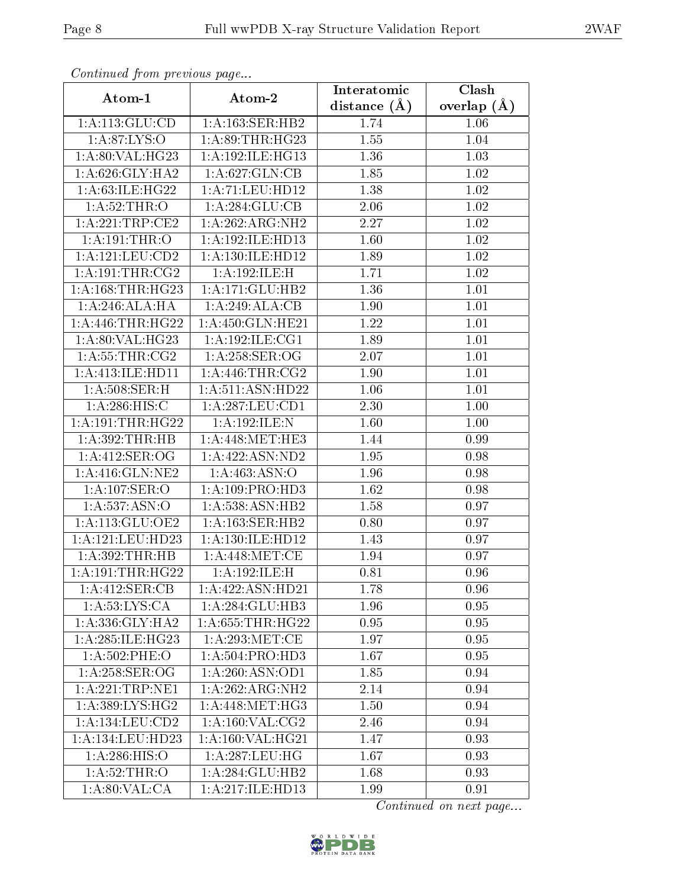| Continuea from previous page  |                      | Interatomic    | Clash         |
|-------------------------------|----------------------|----------------|---------------|
| Atom-1                        | Atom-2               | distance $(A)$ | overlap $(A)$ |
| 1: A: 113: GLU: CD            | 1:A:163:SER:HB2      | 1.74           | 1.06          |
| 1: A:87: LYS:O                | 1: A:89:THR:HG23     | 1.55           | 1.04          |
| 1:A:80:VAL:HG23               | 1:A:192:ILE:HG13     | 1.36           | 1.03          |
| 1: A:626: GLY: HA2            | 1:A:627:GLN:CB       | 1.85           | 1.02          |
| 1: A:63: ILE: HG22            | 1:A:71:LEU:HD12      | 1.38           | 1.02          |
| 1:A:52:THR:O                  | 1: A:284: GLU:CB     | 2.06           | 1.02          |
| 1:A:221:TRP:CE2               | 1:A:262:ARG:NH2      | 2.27           | 1.02          |
| 1: A:191:THR:O                | 1:A:192:ILE:HD13     | 1.60           | 1.02          |
| 1:A:121:LEU:CD2               | 1: A: 130: ILE: HD12 | 1.89           | 1.02          |
| 1: A: 191: THE: CG2           | 1:A:192:ILE:H        | 1.71           | 1.02          |
| 1: A: 168: THR: HG23          | 1:A:171:GLU:HB2      | 1.36           | 1.01          |
| 1: A:246:ALA:HA               | 1:A:249:ALA:CB       | 1.90           | 1.01          |
| 1:A:446:THR:HG22              | 1:A:450:GLN:HE21     | 1.22           | 1.01          |
| 1:A:80:VAL:HG23               | 1:A:192:ILE:CG1      | 1.89           | $1.01\,$      |
| 1: A: 55: THR: CG2            | $1: A:258:$ SER:OG   | 2.07           | $1.01\,$      |
| 1:A:413:ILE:HD11              | 1:A:446:THR:CG2      | 1.90           | 1.01          |
| 1: A:508: SER:H               | 1:A:511:ASN:HD22     | 1.06           | 1.01          |
| 1: A:286: HIS:C               | 1: A:287:LEU:CD1     | 2.30           | $1.00\,$      |
| 1: A: 191: THR: HG22          | 1:A:192:ILE:N        | 1.60           | 1.00          |
| 1: A:392:THR:HB               | 1: A:448:MET:HE3     | 1.44           | 0.99          |
| 1:A:412:SER:OG                | 1:A:422:ASN:ND2      | 1.95           | 0.98          |
| 1: A:416: GLN: NE2            | 1:A:463:ASN:O        | 1.96           | 0.98          |
| 1:A:107:SER:O                 | 1: A: 109: PRO: HD3  | 1.62           | 0.98          |
| 1: A: 537: ASN:O              | 1:A:538:ASN:HB2      | 1.58           | 0.97          |
| 1: A:113: GLU:OE2             | 1: A: 163: SER: HB2  | 0.80           | 0.97          |
| $1:A:121:L\overline{EU:HD23}$ | 1:A:130:ILE:HD12     | 1.43           | 0.97          |
| 1:A:392:THR:HB                | 1: A:448:MET:CE      | 1.94           | 0.97          |
| 1:A:191:THR:HG22              | 1:A:192:ILE:H        | 0.81           | 0.96          |
| 1:A:412:SER:CB                | 1:A:422:ASN:HD21     | 1.78           | 0.96          |
| 1:A:53:LYS:CA                 | 1:A:284:GLU:HB3      | 1.96           | 0.95          |
| 1: A: 336: GLY: HA2           | 1: A:655:THR:HG22    | 0.95           | 0.95          |
| 1: A:285: ILE: HG23           | 1: A:293:MET:CE      | 1.97           | 0.95          |
| $1: A:502:$ PHE:O             | 1: A: 504: PRO: HD3  | 1.67           | 0.95          |
| $1: A:258:$ SER:OG            | 1:A:260:ASN:OD1      | 1.85           | 0.94          |
| 1: A:221:TRP:NE1              | 1:A:262:ARG:NH2      | 2.14           | 0.94          |
| 1: A: 389: LYS: HG2           | 1:A:448:MET:HG3      | 1.50           | 0.94          |
| 1:A:134:LEU:CD2               | 1: A:160: VAL: CG2   | 2.46           | 0.94          |
| 1:A:134:LEU:HD23              | 1:A:160:VAL:HG21     | 1.47           | 0.93          |
| 1:A:286:HIS:O                 | $1:$ A:287:LEU:HG    | 1.67           | 0.93          |
| 1: A:52:THR:O                 | 1:A:284:GLU:HB2      | 1.68           | 0.93          |
| 1: A:80: VAL:CA               | 1:A:217:ILE:HD13     | 1.99           | 0.91          |

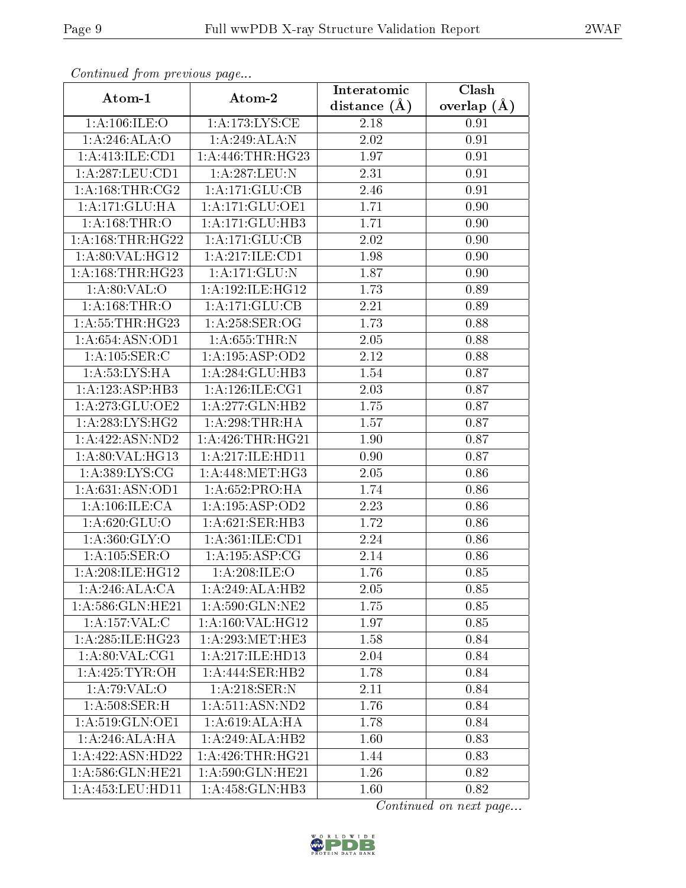| Comunaca jiom previous page |                     | Interatomic       | Clash         |
|-----------------------------|---------------------|-------------------|---------------|
| Atom-1                      | Atom-2              | distance $(A)$    | overlap $(A)$ |
| 1: A:106: ILE:O             | 1: A:173: LYS: CE   | 2.18              | 0.91          |
| 1:A:246:ALA:O               | 1:A:249:ALA:N       | $\overline{2.02}$ | 0.91          |
| 1:A:413:ILE:CD1             | 1: A:446:THR:HG23   | 1.97              | 0.91          |
| 1:A:287:LEU:CD1             | 1:A:287:LEU:N       | 2.31              | 0.91          |
| 1: A: 168: THR: CG2         | 1: A:171: GLU:CB    | 2.46              | 0.91          |
| 1:A:171:GLU:HA              | 1:A:171:GLU:OE1     | 1.71              | 0.90          |
| 1: A:168:THR:O              | 1:A:171:GLU:HB3     | 1.71              | 0.90          |
| 1: A: 168: THR: HG22        | 1: A: 171: GLU: CB  | 2.02              | 0.90          |
| 1:A:80:VAL:HG12             | 1:A:217:ILE:CD1     | 1.98              | 0.90          |
| 1: A: 168: THR: HG23        | 1:A:171:GLU:N       | 1.87              | 0.90          |
| 1: A:80: VAL:O              | 1:A:192:ILE:HG12    | 1.73              | 0.89          |
| 1: A: 168: THR:O            | 1:A:171:GLU:CB      | 2.21              | 0.89          |
| 1: A:55:THR:HG23            | 1: A:258: SER:OG    | 1.73              | 0.88          |
| 1: A:654: ASN:OD1           | 1: A:655:THR:N      | 2.05              | 0.88          |
| 1: A: 105: SER: C           | 1:A:195:ASP:OD2     | 2.12              | 0.88          |
| 1: A: 53: LYS: HA           | 1:A:284:GLU:HB3     | 1.54              | 0.87          |
| 1:A:123:ASP:HB3             | 1: A: 126: ILE: CG1 | 2.03              | 0.87          |
| 1:A:273:GLU:OE2             | 1:A:277:GLN:HB2     | 1.75              | 0.87          |
| 1: A:283: LYS: HG2          | 1: A:298:THR:HA     | 1.57              | 0.87          |
| 1: A: 422: ASN: ND2         | 1: A:426:THR:HG21   | 1.90              | 0.87          |
| 1: A:80: VAL:HG13           | 1:A:217:ILE:HD11    | 0.90              | 0.87          |
| 1: A:389: LYS: CG           | 1:A:448:MET:HG3     | 2.05              | 0.86          |
| 1: A:631: ASN:OD1           | 1: A:652:PRO:HA     | 1.74              | 0.86          |
| 1:A:106:ILE:CA              | 1:A:195:ASP:OD2     | 2.23              | 0.86          |
| 1: A:620: GLU:O             | 1: A:621: SER:HB3   | 1.72              | 0.86          |
| 1: A:360: GLY:O             | 1:A:361:ILE:CD1     | 2.24              | 0.86          |
| 1: A: 105: SER: O           | 1: A: 195: ASP: CG  | 2.14              | 0.86          |
| 1:A:208:ILE:HG12            | 1: A:208: ILE:O     | 1.76              | 0.85          |
| 1:A:246:ALA:CA              | 1:A:249:ALA:HB2     | 2.05              | 0.85          |
| 1:A:586:GLN:HE21            | 1: A:590: GLN:NE2   | 1.75              | 0.85          |
| 1: A: 157: VAL:C            | 1: A:160: VAL:HG12  | 1.97              | 0.85          |
| 1: A:285: ILE: HG23         | 1: A:293:MET:HE3    | 1.58              | 0.84          |
| 1: A:80: VAL:CG1            | 1:A:217:ILE:HD13    | 2.04              | 0.84          |
| 1: A:425: TYR:OH            | 1:A:444:SER:HB2     | 1.78              | 0.84          |
| 1:A:79:VAL:O                | 1: A:218: SER: N    | 2.11              | 0.84          |
| 1: A:508: SER:H             | 1: A:511: ASN:ND2   | 1.76              | 0.84          |
| 1: A:519: GLN: OE1          | 1: A:619: ALA: HA   | 1.78              | 0.84          |
| 1: A:246:ALA:HA             | 1:A:249:ALA:HB2     | 1.60              | 0.83          |
| 1:A:422:ASN:HD22            | 1: A:426:THR:HG21   | 1.44              | 0.83          |
| 1: A:586: GLN: HE21         | 1: A:590: GLN: HE21 | 1.26              | 0.82          |
| 1:A:453:LEU:HD11            | 1:A:458:GLN:HB3     | 1.60              | 0.82          |

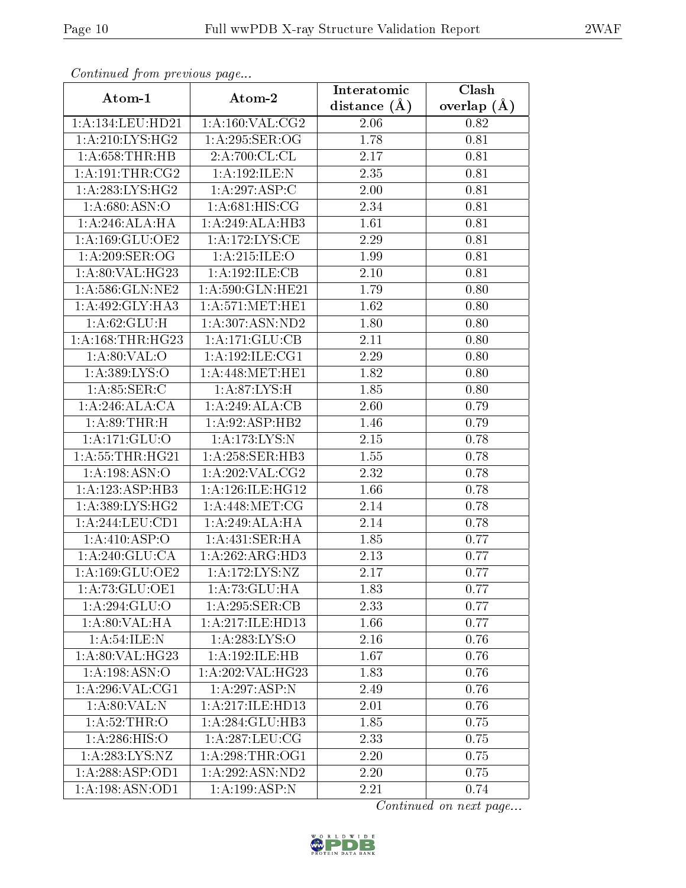| сонинией јтот ртеvиоиз раде |                                   | Interatomic    | Clash         |
|-----------------------------|-----------------------------------|----------------|---------------|
| Atom-1                      | Atom-2                            | distance $(A)$ | overlap $(A)$ |
| 1:A:134:LEU:HD21            | 1:A:160:VAL:CG2                   | 2.06           | 0.82          |
| 1: A:210:LYS:HG2            | 1: A:295: SER:OG                  | 1.78           | 0.81          |
| 1: A:658:THR:HB             | 2:A:700:C L:CL                    | 2.17           | 0.81          |
| 1: A: 191: THE: CG2         | $1:A:192:\overline{\text{ILE:N}}$ | 2.35           | 0.81          |
| 1: A:283:LYS:HG2            | 1:A:297:ASP:C                     | $2.00\,$       | 0.81          |
| 1: A:680: ASN:O             | 1: A:681: HIS: CG                 | 2.34           | 0.81          |
| 1:A:246:ALA:HA              | 1:A:249:ALA:HB3                   | 1.61           | 0.81          |
| 1:A:169:GLU:OE2             | 1: A:172: LYS: CE                 | 2.29           | 0.81          |
| 1: A:209: SER:OG            | 1: A:215: ILE: O                  | 1.99           | 0.81          |
| 1:A:80:VAL:HG23             | 1:A:192:ILE:CB                    | 2.10           | 0.81          |
| 1: A:586: GLN:NE2           | 1: A:590: GLN: HE21               | 1.79           | 0.80          |
| 1:A:492:GLY:HA3             | 1: A:571:MET:HE1                  | 1.62           | 0.80          |
| 1: A:62: GLU:H              | 1:A:307:ASN:ND2                   | 1.80           | 0.80          |
| 1: A: 168: THR: HG23        | 1: A:171: GLU:CB                  | 2.11           | 0.80          |
| 1: A:80: VAL:O              | 1:A:192:ILE:CG1                   | 2.29           | 0.80          |
| 1:A:389:LYS:O               | 1: A:448:MET:HE1                  | 1.82           | 0.80          |
| 1: A:85:SER:C               | 1: A:87:LYS:H                     | 1.85           | 0.80          |
| 1:A:246:ALA:CA              | 1:A:249:ALA:CB                    | 2.60           | 0.79          |
| 1: A:89:THR:H               | 1:A:92:ASP:HB2                    | 1.46           | 0.79          |
| 1:A:171:GLU:O               | 1:A:173:LYS:N                     | 2.15           | 0.78          |
| 1: A:55:THR:HG21            | 1: A:258: SER:HB3                 | 1.55           | 0.78          |
| 1:A:198:ASN:O               | 1: A:202:VAL: CG2                 | 2.32           | 0.78          |
| 1:A:123:ASP:HB3             | 1: A:126: ILE: HG12               | 1.66           | 0.78          |
| 1: A: 389: LYS: HG2         | 1: A:448: MET:CG                  | 2.14           | 0.78          |
| 1:A:244:LEU:CD1             | 1:A:249:ALA:HA                    | 2.14           | 0.78          |
| 1: A: 410: ASP:O            | 1:A:431:SER:HA                    | 1.85           | 0.77          |
| 1: A:240: GLU:CA            | 1:A:262:ARG:HD3                   | 2.13           | 0.77          |
| 1:A:169:GLU:OE2             | 1:A:172:LYS:NZ                    | 2.17           | 0.77          |
| 1: A:73: GLU:OE1            | 1: A: 73: GLU: HA                 | 1.83           | 0.77          |
| 1:A:294:GLU:O               | 1: A:295: SER:CB                  | 2.33           | 0.77          |
| 1: A:80: VAL:HA             | 1: A:217: ILE:HD13                | 1.66           | 0.77          |
| 1: A:54: ILE:N              | 1: A: 283: LYS: O                 | 2.16           | 0.76          |
| 1: A:80: VAL: HG23          | 1:A:192:ILE:HB                    | 1.67           | 0.76          |
| 1:A:198:ASN:O               | 1:A:202:VAL:HG23                  | 1.83           | 0.76          |
| 1: A:296: VAL:CG1           | 1:A:297:ASP:N                     | 2.49           | 0.76          |
| 1: A:80:VAL: N              | 1:A:217:ILE:HD13                  | 2.01           | 0.76          |
| 1: A:52:THR:O               | 1:A:284:GLU:HB3                   | 1.85           | 0.75          |
| 1: A:286: HIS:O             | 1: A:287:LEU:CG                   | 2.33           | 0.75          |
| 1:A:283:LYS:NZ              | 1:A:298:THR:OG1                   | 2.20           | 0.75          |
| 1:A:288:ASP:OD1             | 1:A:292:ASN:ND2                   | 2.20           | 0.75          |
| 1:A:198:ASN:OD1             | $1:A:199.\overline{ASP:N}$        | 2.21           | 0.74          |

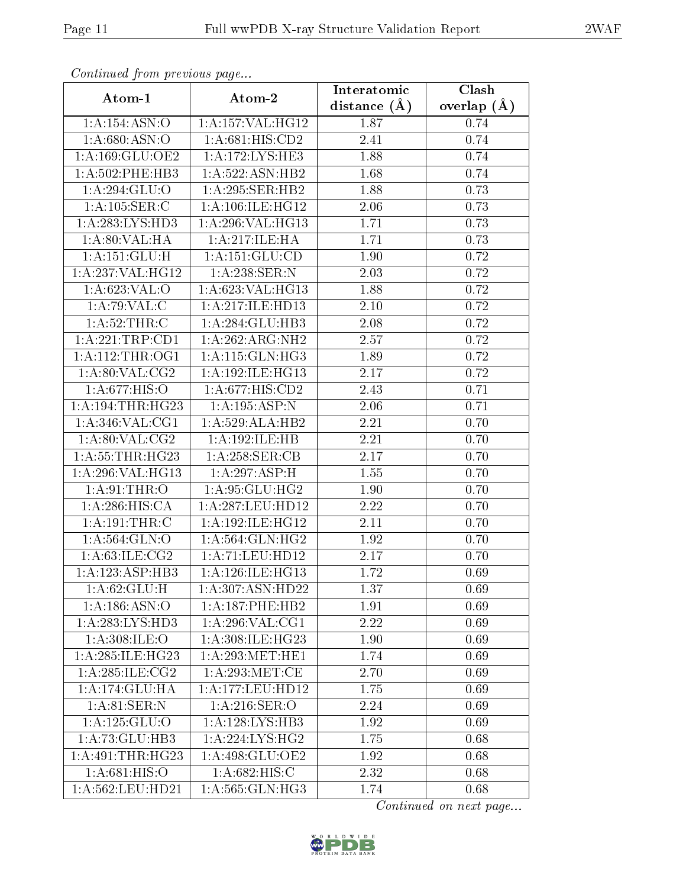| Continuea from previous page          |                                 | Interatomic    | Clash           |
|---------------------------------------|---------------------------------|----------------|-----------------|
| Atom-1                                | Atom-2                          | distance $(A)$ | overlap $(\AA)$ |
| 1:A:154:ASN:O                         | 1:A:157:VAL:HG12                | 1.87           | 0.74            |
| 1: A:680: ASN:O                       | 1:A:681:HIS:CD2                 | 2.41           | 0.74            |
| 1: A: 169: GLU: OE2                   | 1:A:172:LYS:HE3                 | 1.88           | 0.74            |
| $1: A:502:$ PHE:HB3                   | 1:A:522:ASN:HB2                 | 1.68           | 0.74            |
| 1:A:294:GLU:O                         | 1:A:295:SER:HB2                 | 1.88           | 0.73            |
| 1:A:105:SER:C                         | 1:A:106:ILE:HG12                | 2.06           | 0.73            |
| 1:A:283:LYS:HD3                       | 1:A:296:VAL:HG13                | 1.71           | 0.73            |
| 1:A:80:VAL:HA                         | 1:A:217:ILE:HA                  | 1.71           | 0.73            |
| 1: A: 151: GLU: H                     | 1:A:151:GLU:CD                  | 1.90           | 0.72            |
| 1:A:237:VAL:HG12                      | 1:A:238:SER:N                   | 2.03           | 0.72            |
| 1: A:623: VAL:O                       | 1: A:623: VAL:HG13              | 1.88           | 0.72            |
| $1:A:79:\overline{VAL:C}$             | 1:A:217:ILE:HD13                | 2.10           | 0.72            |
| 1:A:52:THR:C                          | 1:A:284:GLU:HB3                 | 2.08           | 0.72            |
| 1: A:221:TRP:CD1                      | 1:A:262:ARG:NH2                 | 2.57           | 0.72            |
| 1: A:112:THR:OG1                      | 1: A:115: GLN: HG3              | 1.89           | 0.72            |
| 1: A:80: VAL: CG2                     | 1:A:192:ILE:HG13                | 2.17           | 0.72            |
| 1:A:677:HIS:O                         | 1: A:677: HIS: CD2              | 2.43           | 0.71            |
| 1: A: 194: THR: HG23                  | 1:A:195:ASP:N                   | 2.06           | 0.71            |
| 1: A:346: VAL:CG1                     | 1:A:529:ALA:HB2                 | 2.21           | 0.70            |
| 1: A:80: VAL: CG2                     | 1: A:192: ILE: HB               | 2.21           | 0.70            |
| 1: A:55:THR:HG23                      | 1: A:258: SER:CB                | 2.17           | 0.70            |
| 1:A:296:VAL:HG13                      | 1:A:297:ASP:H                   | 1.55           | 0.70            |
| 1: A:91:THR:O                         | 1:A:95:GLU:HG2                  | 1.90           | 0.70            |
| 1:A:286:HIS:CA                        | 1: A:287:LEU:HD12               | 2.22           | 0.70            |
| 1:A:191:THR:C                         | 1:A:192:ILE:HG12                | 2.11           | 0.70            |
| 1: A:564: GLN:O                       | $1:A:564:\overline{GLN:HG2}$    | 1.92           | 0.70            |
| 1: A:63: ILE: CG2                     | 1:A:71:LEU:HD12                 | 2.17           | 0.70            |
| 1:A:123:ASP:HB3                       | 1:A:126:ILE:HG13                | 1.72           | 0.69            |
| 1: A:62: GLU:H                        | 1:A:307:ASN:HD22                | 1.37           | 0.69            |
| 1: A: 186: ASN: O                     | 1:A:187:PHE:HB2                 | 1.91           | 0.69            |
| 1:A:283:LYS:HD3                       | 1: A:296: VAL:CG1               | 2.22           | 0.69            |
| 1:A:308:JLE:O                         | 1: A:308: ILE: HG <sub>23</sub> | 1.90           | 0.69            |
| 1: A:285: ILE: HG23                   | 1: A:293:MET:HE1                | 1.74           | 0.69            |
| $1: A:285: \overline{\text{ILE}:CG2}$ | 1: A:293:MET:CE                 | 2.70           | 0.69            |
| 1:A:174:GLU:HA                        | 1:A:177:LEU:HD12                | 1.75           | 0.69            |
| 1: A:81:SER:N                         | 1: A:216: SER:O                 | 2.24           | 0.69            |
| 1: A: 125: GLU: O                     | 1: A: 128: LYS: HB3             | 1.92           | 0.69            |
| 1:A:73:GLU:HB3                        | $1:A:22\overline{4:LYS:HG2}$    | 1.75           | 0.68            |
| 1: A:491:THR:HG23                     | 1: A:498: GLU:OE2               | 1.92           | 0.68            |
| 1:A:681:HIS:O                         | 1:A:682:HIS:C                   | 2.32           | 0.68            |
| 1:A:562:LEU:HD21                      | 1:A:565:GLN:HG3                 | 1.74           | 0.68            |

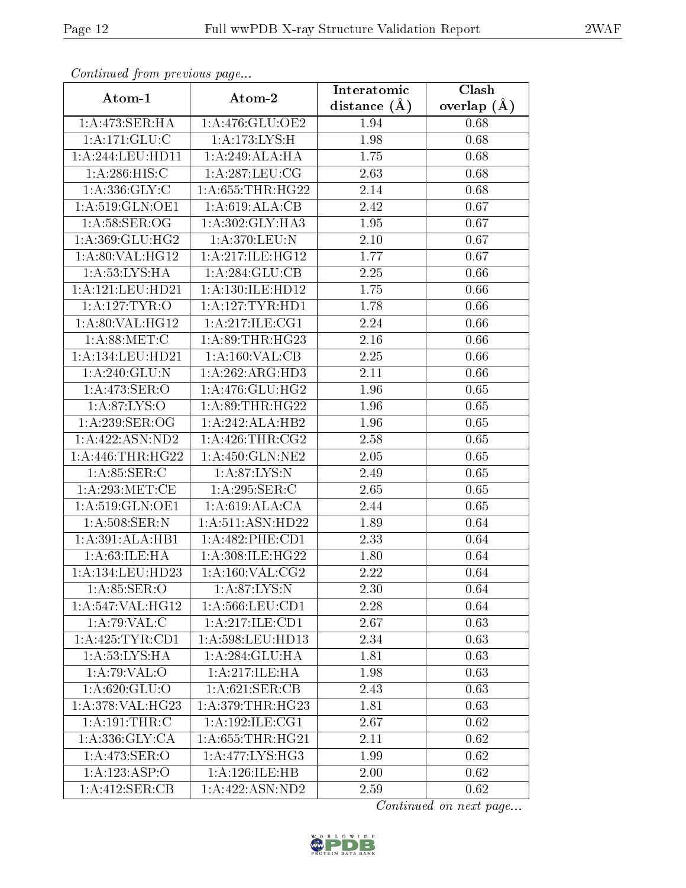| Continuea from previous page |                      | Interatomic       | Clash         |
|------------------------------|----------------------|-------------------|---------------|
| Atom-1                       | Atom-2               | distance $(\AA)$  | overlap $(A)$ |
| 1:A:473:SER:HA               | 1:A:476:GLU:OE2      | 1.94              | 0.68          |
| 1:A:171:GLU:C                | 1:A:173:LYS:H        | 1.98              | 0.68          |
| 1: A:244:LEU:HD11            | 1:A:249:ALA:HA       | 1.75              | 0.68          |
| 1: A:286: HIS: C             | 1:A:287:LEU:CG       | 2.63              | 0.68          |
| 1:A:336:GLY:C                | 1: A: 655: THR: HG22 | 2.14              | 0.68          |
| 1:A:519:GLN:OE1              | 1:A:619:ALA:CB       | 2.42              | 0.67          |
| 1: A:58: SER:OG              | 1:A:302:GLY:HA3      | 1.95              | 0.67          |
| 1: A:369: GLU:HG2            | 1: A:370:LEU:N       | 2.10              | 0.67          |
| 1: A:80: VAL:HG12            | 1:A:217:ILE:HG12     | 1.77              | 0.67          |
| 1: A: 53: LYS: HA            | 1: A:284: GLU:CB     | 2.25              | 0.66          |
| 1: A:121:LEU:HD21            | 1: A: 130: ILE: HD12 | 1.75              | 0.66          |
| 1: A: 127: TYR: O            | 1: A: 127: TYR: HD1  | 1.78              | 0.66          |
| 1: A:80: VAL: HG12           | 1:A:217:ILE:CG1      | 2.24              | 0.66          |
| 1: A:88:MET:C                | 1: A:89:THR:HG23     | 2.16              | 0.66          |
| 1: A:134:LEU:HD21            | 1:A:160:VAL:CB       | 2.25              | 0.66          |
| 1:A:240:GLU:N                | 1:A:262:ARG:HD3      | 2.11              | 0.66          |
| 1: A:473: SER:O              | 1: A:476: GLU: HG2   | 1.96              | 0.65          |
| 1: A:87: LYS:O               | 1: A:89:THR:HG22     | 1.96              | 0.65          |
| 1: A:239: SER:OG             | 1:A:242:ALA:HB2      | 1.96              | 0.65          |
| 1: A: 422: ASN: ND2          | 1: A:426:THR:CG2     | 2.58              | 0.65          |
| 1: A:446:THR:HG22            | 1: A: 450: GLN: NE2  | 2.05              | 0.65          |
| 1: A:85: SER: C              | 1: A:87:LYS:N        | 2.49              | 0.65          |
| 1:A:293:MET:CE               | 1:A:295:SER:C        | 2.65              | 0.65          |
| 1: A:519: GLN:OE1            | 1: A:619:ALA:CA      | 2.44              | 0.65          |
| 1: A:508: SER: N             | 1:A:511:ASN:HD22     | 1.89              | 0.64          |
| 1:A:391:ALA:HB1              | 1: A:482:PHE:CD1     | $\overline{2}.33$ | 0.64          |
| 1:A:63:ILE:HA                | 1:A:308:ILE:HG22     | 1.80              | 0.64          |
| 1:A:134:LEU:HD23             | 1: A:160: VAL: CG2   | 2.22              | 0.64          |
| 1: A:85: SER:O               | 1: A:87: LYS:N       | 2.30              | 0.64          |
| 1:A:547:VAL:HG12             | 1: A: 566: LEU: CD1  | 2.28              | 0.64          |
| 1:A:79:VAL:CC                | 1: A:217: ILE: CD1   | 2.67              | 0.63          |
| 1:A:425:TYR:CD1              | 1:A:598:LEU:HD13     | 2.34              | 0.63          |
| 1: A: 53: LYS: HA            | 1:A:284:GLU:HA       | 1.81              | 0.63          |
| 1:A:79:VAL:O                 | 1:A:217:ILE:HA       | 1.98              | 0.63          |
| 1: A:620: GLU:O              | 1: A:621: SER:CB     | 2.43              | 0.63          |
| 1:A:378:VAL:H G23            | 1: A:379:THR:HG23    | 1.81              | 0.63          |
| 1: A: 191: THE: C            | 1:A:192:ILE:CG1      | 2.67              | 0.62          |
| 1: A: 336: GLY: CA           | 1: A: 655: THR: HG21 | 2.11              | 0.62          |
| 1:A:473:SER:O                | 1: A:477: LYS: HG3   | 1.99              | 0.62          |
| 1:A:123:ASP:O                | 1: A:126: ILE: HB    | 2.00              | 0.62          |
| 1:A:412:SER:CB               | 1:A:422:ASN:ND2      | 2.59              | 0.62          |

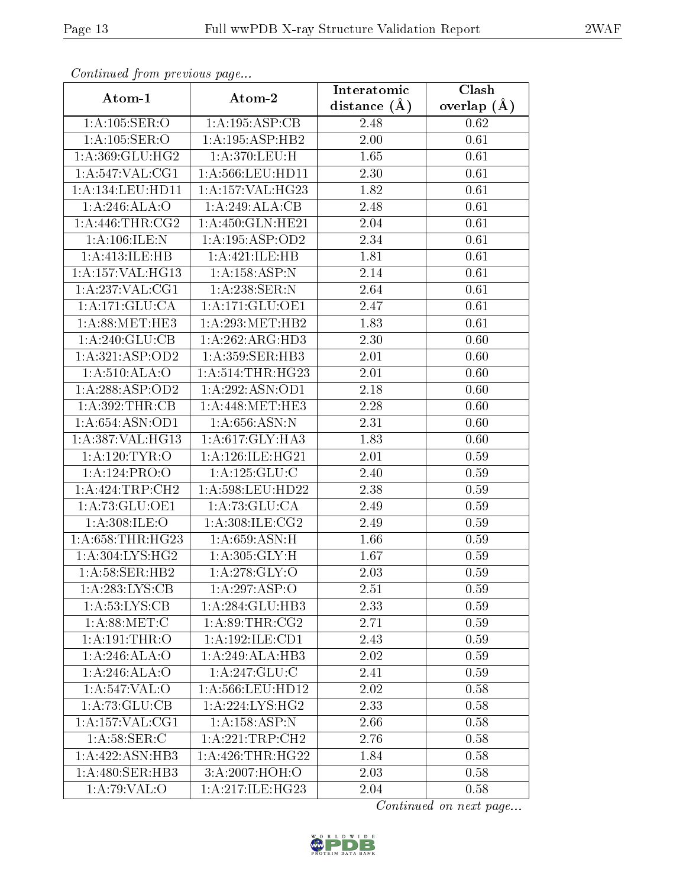| Continuea from previous page |                              | Interatomic    | Clash         |
|------------------------------|------------------------------|----------------|---------------|
| Atom-1                       | Atom-2                       | distance $(A)$ | overlap $(A)$ |
| 1:A:105:SER:O                | 1:A:195:ASP:CB               | 2.48           | 0.62          |
| 1:A:105:SER:O                | 1:A:195:ASP:HB2              | 2.00           | 0.61          |
| 1: A:369: GLU: HG2           | 1:A:370:LEU:H                | 1.65           | 0.61          |
| 1:A:547:VAL:CG1              | 1:A:566:LEU:HD11             | 2.30           | 0.61          |
| 1: A: 134: LEU: HD11         | 1:A:157:VAL:HG23             | 1.82           | 0.61          |
| 1:A:246:ALA:O                | 1:A:249:ALA:CB               | 2.48           | 0.61          |
| 1: A:446:THR:CG2             | 1:A:450:GLN:HE21             | 2.04           | 0.61          |
| 1:A:106:ILE:N                | 1: A: 195: ASP: OD2          | 2.34           | 0.61          |
| 1:A:413:ILE:HB               | 1:A:421:ILE:HB               | 1.81           | 0.61          |
| 1:A:157:VAL:HG13             | 1:A:158:ASP:N                | 2.14           | 0.61          |
| 1:A:237:VAL:CG1              | 1:A:238:SER:N                | 2.64           | 0.61          |
| 1:A:171:GLU:CA               | 1:A:171:GLU:OE1              | 2.47           | 0.61          |
| 1: A:88: MET:HE3             | 1: A:293:MET:HB2             | 1.83           | 0.61          |
| 1:A:240:GLU:CB               | 1:A:262:ARG:HD3              | 2.30           | 0.60          |
| 1:A:321:ASP:OD2              | 1: A: 359: SER: HB3          | 2.01           | 0.60          |
| 1: A:510:ALA:O               | 1: A:514:THR:HG23            | 2.01           | 0.60          |
| 1:A:288:ASP:OD2              | 1:A:292:ASN:OD1              | 2.18           | 0.60          |
| 1: A:392:THR:CB              | 1: A:448:MET:HE3             | 2.28           | 0.60          |
| 1: A:654:ASN:OD1             | 1: A:656: ASN:N              | 2.31           | 0.60          |
| 1:A:387:VAL:HG13             | 1: A:617: GLY:HA3            | 1.83           | 0.60          |
| 1: A: 120: TYR: O            | 1: A:126: ILE: HG21          | 2.01           | 0.59          |
| 1:A:124:PRO:O                | 1: A: 125: GLU: C            | 2.40           | 0.59          |
| 1:A:424:TRP:CH2              | 1:A:598:LEU:HD22             | 2.38           | 0.59          |
| 1:A:73:GLU:OE1               | 1: A:73: GLU:CA              | 2.49           | 0.59          |
| 1:A:308:ILE:O                | 1:A:308:ILE:CG2              | 2.49           | 0.59          |
| 1: A:658:THR:HG23            | 1: A:659: ASN:H              | 1.66           | 0.59          |
| 1:A:304:LYS:HG2              | 1: A:305: GLY:H              | 1.67           | 0.59          |
| 1: A:58: SER:HB2             | 1:A:278:GLY:O                | 2.03           | 0.59          |
| 1: A:283:LYS:CB              | 1:A:297:ASP:O                | 2.51           | 0.59          |
| 1: A:53: LYS: CB             | 1:A:284:GLU:HB3              | 2.33           | 0.59          |
| 1: A:88:MET:C                | 1: A:89:THR:CG2              | 2.71           | 0.59          |
| 1:A:191:THR:O                | 1: A: 192: ILE: CD1          | 2.43           | 0.59          |
| 1:A:246:ALA:O                | 1:A:249:ALA:HB3              | 2.02           | 0.59          |
| 1:A:246:ALA:O                | 1: A:247: GLU:C              | 2.41           | 0.59          |
| 1: A:547: VAL:O              | 1: A: 566: LEU: HD12         | 2.02           | 0.58          |
| 1:A:73:GLU:CB                | $1:A:22\overline{4:LYS:HG2}$ | 2.33           | 0.58          |
| 1:A:157:VAL:CG1              | 1:A:158:ASP:N                | 2.66           | 0.58          |
| 1: A:58: SER:C               | 1:A:221:TRP:CH2              | 2.76           | 0.58          |
| 1:A:422:ASN:HB3              | 1: A:426:THR:HG22            | 1.84           | 0.58          |
| 1: A:480: SER:HB3            | 3:A:2007:HOH:O               | 2.03           | 0.58          |
| 1:A:79:VAL:O                 | 1:A:217:ILE:HG23             | 2.04           | 0.58          |

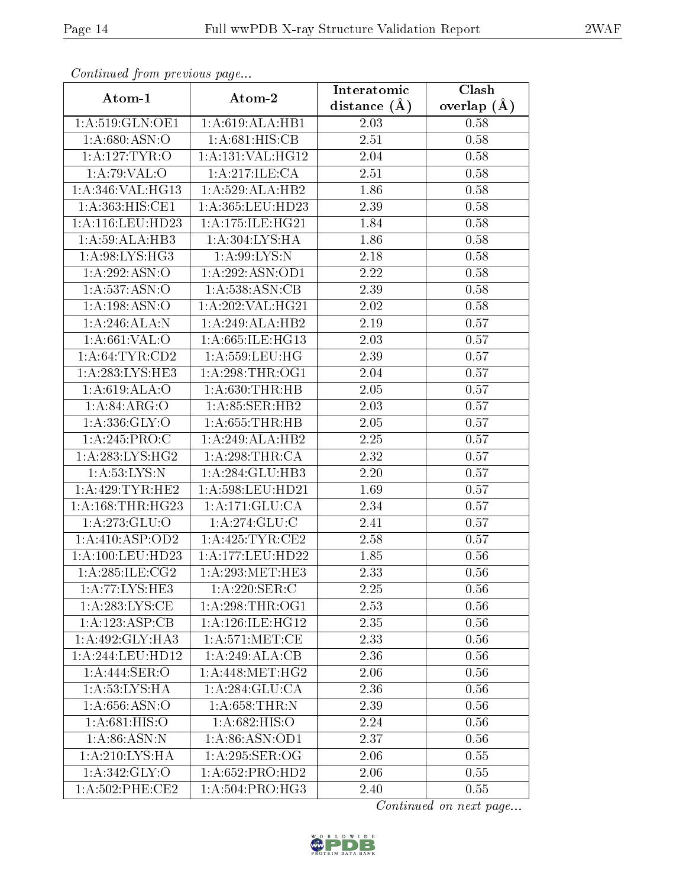| Continuea from previous page |                              | Interatomic      | Clash         |
|------------------------------|------------------------------|------------------|---------------|
| Atom-1                       | Atom-2                       | distance $(\AA)$ | overlap $(A)$ |
| 1:A:519:GLN:OE1              | 1:A:619:ALA:HB1              | 2.03             | 0.58          |
| 1: A:680: ASN:O              | 1: A:681: HIS: CB            | 2.51             | 0.58          |
| 1: A: 127: TYR: O            | 1:A:131:VAL:HG12             | 2.04             | 0.58          |
| 1:A:79:VAL:O                 | 1: A:217: ILE: CA            | 2.51             | 0.58          |
| 1:A:346:VAL:HG13             | 1:A:529:ALA:HB2              | 1.86             | 0.58          |
| 1:A:363:HIS:CE1              | 1:A:365:LEU:HD23             | 2.39             | 0.58          |
| 1: A:116: LEU: HD23          | 1:A:175:ILE:HG21             | 1.84             | 0.58          |
| 1:A:59:ALA:HB3               | 1: A: 304: LYS: HA           | 1.86             | 0.58          |
| 1: A:98: LYS: HG3            | 1: A:99: LYS:N               | 2.18             | 0.58          |
| 1:A:292:ASN:O                | 1:A:292:ASN:OD1              | 2.22             | 0.58          |
| 1:A:537:ASN:O                | 1:A:538:ASN:CB               | 2.39             | 0.58          |
| 1:A:198:ASN:O                | 1:A:202:VAL:HG21             | 2.02             | 0.58          |
| 1:A:246:ALA:N                | 1:A:249:ALA:HB2              | 2.19             | 0.57          |
| 1: A:661:VAL:O               | 1:A:665:ILE:HG13             | 2.03             | 0.57          |
| 1: A:64:TYR:CD2              | 1:A:559:LEU:HG               | 2.39             | 0.57          |
| 1:A:283:LYS:HE3              | 1: A:298:THR:OG1             | 2.04             | 0.57          |
| 1:A:619:ALA:O                | 1: A:630:THR:HB              | 2.05             | 0.57          |
| 1: A:84: ARG:O               | 1:A:85:SER:HB2               | 2.03             | 0.57          |
| 1: A: 336: GLY: O            | 1: A:655:THR:HB              | 2.05             | 0.57          |
| 1: A:245: PRO:C              | 1:A:249:ALA:HB2              | 2.25             | 0.57          |
| 1: A:283: LYS: HG2           | 1:A:298:THR:CA               | 2.32             | 0.57          |
| 1: A:53: LYS:N               | 1:A:284:GLU:HB3              | 2.20             | 0.57          |
| 1: A:429: TYR: HE2           | 1:A:598:LEU:HD21             | 1.69             | 0.57          |
| 1: A: 168: THR: HG23         | 1:A:171:GLU:CA               | 2.34             | 0.57          |
| 1:A:273:GLU:O                | 1: A:274: GLU:C              | 2.41             | 0.57          |
| 1:A:410:ASP:OD2              | 1: A:425: TYR: CE2           | 2.58             | 0.57          |
| 1: A:100:LEU:HD23            | 1:A:177:LEU:HD22             | 1.85             | 0.56          |
| 1: A:285: ILE: CG2           | 1: A:293:MET:HE3             | 2.33             | 0.56          |
| 1:A:77:LYS:HE3               | 1:A:220:SER:C                | 2.25             | 0.56          |
| 1:A:283:LYS:CE               | 1: A:298:THR:OG1             | 2.53             | 0.56          |
| 1:A:123:ASP:CB               | 1:A:126:ILE:HG12             | 2.35             | 0.56          |
| 1: A:492: GLY:HA3            | 1: A:571: MET:CE             | 2.33             | 0.56          |
| 1:A:244:LEU:HD12             | 1:A:249:ALA:CB               | 2.36             | 0.56          |
| 1:A:444:SER:O                | 1:A:448:MET:HG2              | 2.06             | 0.56          |
| 1: A: 53: LYS: HA            | 1: A:284: GLU:CA             | 2.36             | 0.56          |
| 1: A:656: ASN:O              | 1: A:658:THR:N               | 2.39             | 0.56          |
| 1:A:681:HIS:O                | 1: A:682: HIS:O              | 2.24             | 0.56          |
| 1: A:86: ASN: N              | 1:A:86:ASN:OD1               | 2.37             | 0.56          |
| 1: A:210: LYS: HA            | 1: A:295: SER:OG             | 2.06             | 0.55          |
| 1:A:342:GLY:O                | 1: A:652: PRO:HD2            | 2.06             | 0.55          |
| $1: A:502:$ PHE:CE2          | $1:A:504:PR\overline{O:HG3}$ | 2.40             | 0.55          |

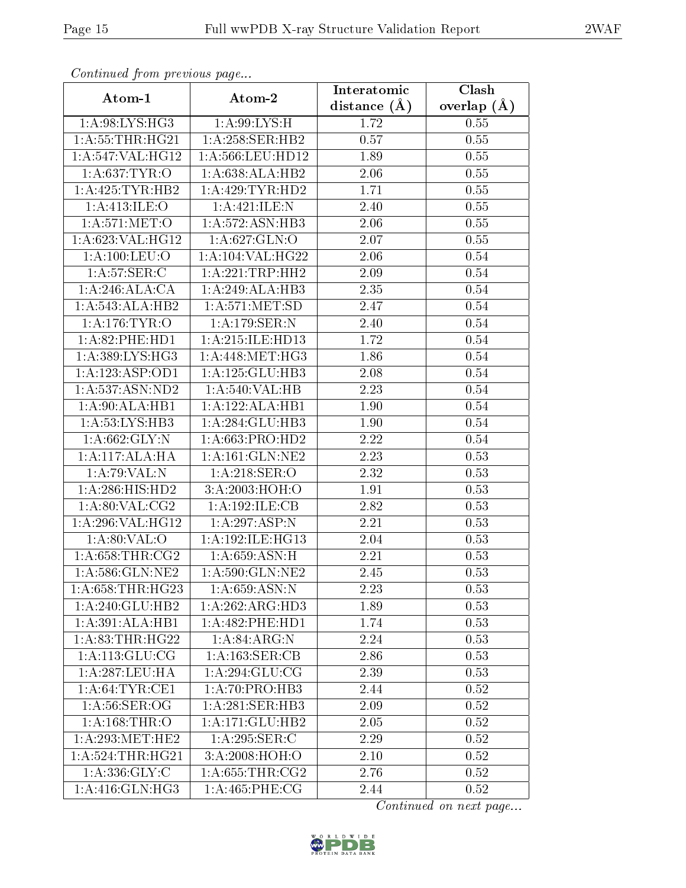| Continuea from previous page                   |                      | Interatomic    | Clash         |
|------------------------------------------------|----------------------|----------------|---------------|
| Atom-1                                         | Atom-2               | distance $(A)$ | overlap $(A)$ |
| 1:A:98:LYS:HG3                                 | 1: A:99: LYS:H       | 1.72           | 0.55          |
| 1: A:55:THR:HG21                               | 1:A:258:SER:HB2      | 0.57           | 0.55          |
| $1:\overline{A}:547:\overline{VAL}:HG12$       | 1:A:566:LEU:HD12     | 1.89           | 0.55          |
| 1: A:637:TYR:O                                 | 1:A:638:ALA:HB2      | 2.06           | 0.55          |
| 1:A:425:TYR:HB2                                | 1: A:429: TYR: HD2   | 1.71           | 0.55          |
| 1:A:413:ILE:O                                  | 1:A:421:ILE:N        | 2.40           | 0.55          |
| 1: A:571: MET:O                                | 1:A:572:ASN:HB3      | 2.06           | 0.55          |
| 1:A:623:VAL:HG12                               | 1:A:627:GLN:O        | 2.07           | 0.55          |
| 1:A:100:LEU:O                                  | 1: A: 104: VAL: HG22 | 2.06           | 0.54          |
| 1: A:57: SER:C                                 | 1:A:221:TRP:HH2      | 2.09           | 0.54          |
| 1:A:246:ALA:CA                                 | 1:A:249:ALA:HB3      | 2.35           | 0.54          |
| 1:A:543:ALA:HB2                                | 1: A:571: MET:SD     | 2.47           | 0.54          |
| 1: A:176: TYR: O                               | 1:A:179:SER:N        | 2.40           | 0.54          |
| 1: A:82:PHE:HD1                                | 1: A:215: ILE: HD13  | 1.72           | 0.54          |
| 1:A:389:LYS:HG3                                | 1:A:448:MET:HG3      | 1.86           | 0.54          |
| 1:A:123:ASP:OD1                                | 1:A:125:GLU:HB3      | 2.08           | 0.54          |
| 1: A: 537: ASN: ND2                            | 1:A:540:VAL:HB       | 2.23           | 0.54          |
| 1:A:90:ALA:HB1                                 | 1:A:122:ALA:HB1      | 1.90           | 0.54          |
| 1: A:53: LYS: HB3                              | 1:A:284:GLU:HB3      | 1.90           | 0.54          |
| 1: A:662: GLY:N                                | 1: A:663: PRO:HD2    | 2.22           | 0.54          |
| 1:A:117:ALA:HA                                 | 1:A:161:GLN:NE2      | 2.23           | 0.53          |
| 1:A:79:VAL:N                                   | 1: A:218: SER:O      | 2.32           | 0.53          |
| 1:A:286:HIS:HD2                                | 3:A:2003:HOH:O       | 1.91           | 0.53          |
| 1: A:80: VAL: CG2                              | 1:A:192:ILE:CB       | 2.82           | 0.53          |
| 1:A:296:VAL:HG12                               | 1:A:297:ASP:N        | 2.21           | 0.53          |
| 1: A:80: VAL:O                                 | 1:A:192:ILE:HG13     | $2.04\,$       | 0.53          |
| 1: A:658:THR:CG2                               | 1: A:659: ASN:H      | 2.21           | 0.53          |
| 1:A:586:GLN:NE2                                | 1: A:590: GLN: NE2   | 2.45           | 0.53          |
| 1: A:658:THR:HG23                              | 1: A:659: ASN:N      | 2.23           | 0.53          |
| 1:A:240:GLU:HB2                                | 1:A:262:ARG:HD3      | 1.89           | 0.53          |
| 1:A:391:ALA:HB1                                | 1: A:482: PHE:HD1    | 1.74           | 0.53          |
| 1: A:83:THR:HG22                               | 1: A:84: ARG: N      | 2.24           | 0.53          |
| $1:A:113:\overline{GLU:CG}$                    | 1:A:163:SER:CB       | 2.86           | 0.53          |
| 1:A:287:LEU:HA                                 | 1:A:294:GLU:CG       | 2.39           | 0.53          |
| 1: A:64:TYR:CE1                                | 1:A:70:PRO:HB3       | 2.44           | 0.52          |
| 1: A:56: SER:OG                                | 1:A:281:SER:HB3      | 2.09           | 0.52          |
| 1: A: 168: THR: O                              | 1:A:171:GLU:HB2      | 2.05           | 0.52          |
| $1:A:293:\overline{\mathrm{MET}:\mathrm{HE2}}$ | 1:A:295:SER:C        | 2.29           | 0.52          |
| 1: A:524:THR:HG21                              | 3:A:2008:HOH:O       | 2.10           | 0.52          |
| 1:A:336:GLY:C                                  | 1: A:655:THR:CG2     | 2.76           | 0.52          |
| 1: A:416: GLN: HG3                             | 1: A:465:PHE:CG      | 2.44           | 0.52          |

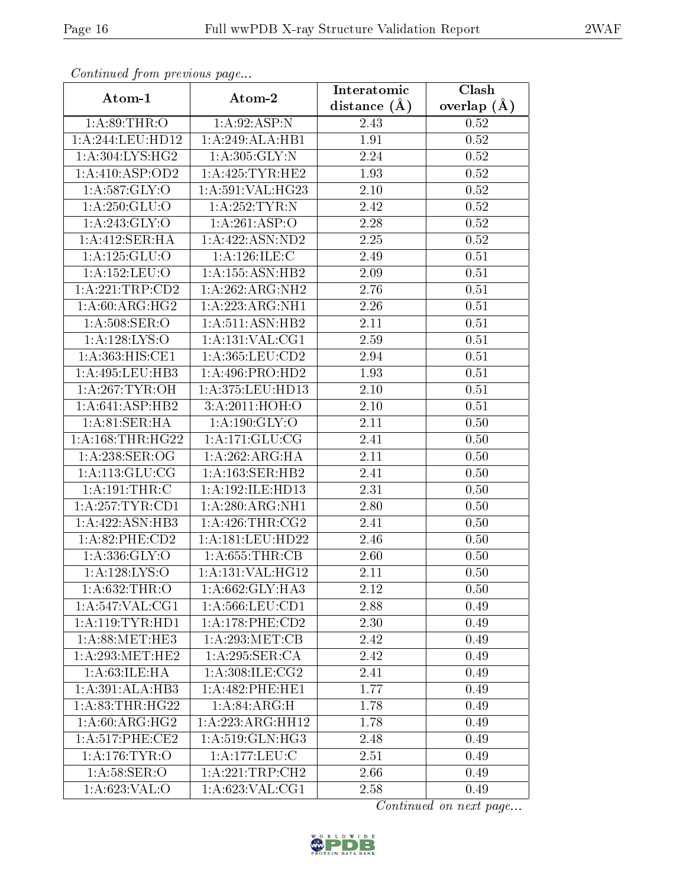| Continued from previous page |                     | Interatomic       | Clash             |
|------------------------------|---------------------|-------------------|-------------------|
| Atom-1                       | Atom-2              | distance $(A)$    | overlap $(A)$     |
| 1: A:89:THR:O                | 1: A:92: ASP:N      | 2.43              | 0.52              |
| 1:A:244:LEU:HD12             | 1:A:249:ALA:HB1     | $\overline{1.91}$ | $\overline{0.52}$ |
| 1: A:304: LYS: HG2           | 1:A:305:GLY:N       | 2.24              | 0.52              |
| 1:A:410:ASP:OD2              | 1: A:425: TYR: HE2  | 1.93              | 0.52              |
| 1:A:587:GLY:O                | 1: A:591: VAL:HG23  | 2.10              | 0.52              |
| 1:A:250:GLU:O                | 1: A: 252: TYR: N   | 2.42              | 0.52              |
| 1:A:243:GLY:O                | 1:A:261:ASP:O       | 2.28              | 0.52              |
| 1:A:412:SER:HA               | 1:A:422:ASN:ND2     | 2.25              | 0.52              |
| 1: A: 125: GLU:O             | 1: A:126: ILE:C     | 2.49              | 0.51              |
| 1:A:152:LEU:O                | 1:A:155:ASN:HB2     | 2.09              | 0.51              |
| 1:A:221:TRP:CD2              | 1:A:262:ARG:NH2     | 2.76              | 0.51              |
| 1: A:60: ARG: HG2            | 1:A:223:ARG:NH1     | 2.26              | 0.51              |
| 1: A:508: SER:O              | 1: A:511: ASN: HB2  | 2.11              | 0.51              |
| 1:A:128:LYS:O                | 1:A:131:VAL:CG1     | 2.59              | 0.51              |
| 1: A: 363: HIS: CE1          | 1: A: 365: LEU: CD2 | 2.94              | 0.51              |
| 1:A:495:LEU:HB3              | 1: A:496: PRO:HD2   | 1.93              | 0.51              |
| 1: A:267:TYR:OH              | 1:A:375:LEU:HD13    | 2.10              | 0.51              |
| 1: A:641: ASP:HB2            | 3:A:2011:HOH:O      | 2.10              | 0.51              |
| 1: A:81:SER:HA               | 1:A:190:GLY:O       | 2.11              | 0.50              |
| 1: A: 168: THR: HG22         | 1: A:171: GLU:CG    | 2.41              | 0.50              |
| 1:A:238:SER:OG               | 1:A:262:ARG:HA      | 2.11              | 0.50              |
| 1: A:113: GLU:CG             | 1: A: 163: SER: HB2 | 2.41              | 0.50              |
| 1: A: 191: THR: C            | 1:A:192:ILE:HD13    | 2.31              | 0.50              |
| 1: A:257:TYR:CD1             | 1: A:280:ARG:NH1    | 2.80              | 0.50              |
| 1:A:422:ASN:HB3              | 1: A:426:THR:CG2    | 2.41              | 0.50              |
| 1:A:82:PHE:CD2               | 1:A:181:LEU:HD22    | 2.46              | 0.50              |
| 1: A: 336: GLY:O             | 1: A:655:THR:CB     | 2.60              | 0.50              |
| 1:A:128:LYS:O                | 1:A:131:VAL:HG12    | 2.11              | 0.50              |
| 1: A:632:THR:O               | 1:A:662:GLY:HA3     | 2.12              | 0.50              |
| 1: A:547: VAL:CG1            | 1: A: 566: LEU: CD1 | 2.88              | 0.49              |
| 1: A:119: TYR: HD1           | 1: A:178:PHE:CD2    | 2.30              | 0.49              |
| 1: A:88:MET:HE3              | 1: A:293:MET:CB     | 2.42              | 0.49              |
| 1: A:293:MET:HE2             | 1: A:295: SER:CA    | 2.42              | 0.49              |
| 1: A:63:ILE: HA              | 1:A:308:ILE:CG2     | 2.41              | 0.49              |
| 1:A:391:ALA:HB3              | 1: A:482:PHE:HE1    | 1.77              | 0.49              |
| 1: A:83:THR:HG22             | 1: A:84: ARG:H      | 1.78              | 0.49              |
| $1:A:60:ARG:H\overline{G2}$  | 1:A:223:ARG:HH12    | 1.78              | 0.49              |
| $1: A:517:$ PHE:CE2          | $1:A:519:$ GLN:HG3  | 2.48              | 0.49              |
| 1: A:176: TYR: O             | $1:$ A:177:LEU:C    | 2.51              | 0.49              |
| 1: A:58: SER:O               | 1:A:221:TRP:CH2     | 2.66              | 0.49              |
| 1: A:623: VAL:O              | 1:A:623:VAL:CG1     | 2.58              | 0.49              |

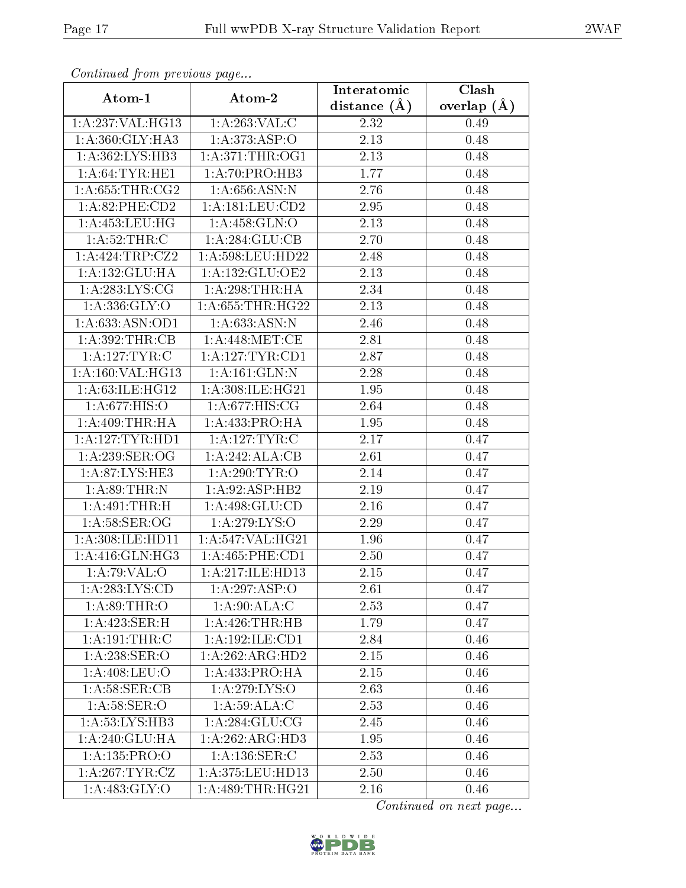| Continuea from previous page  |                                     | Interatomic       | Clash         |
|-------------------------------|-------------------------------------|-------------------|---------------|
| Atom-1                        | Atom-2                              | distance $(A)$    | overlap $(A)$ |
| 1:A:237:VAL:HG13              | 1:A:263:VAL:C                       | 2.32              | 0.49          |
| 1: A:360: GLY: HA3            | 1:A:373:ASP:O                       | 2.13              | 0.48          |
| 1: A: 362: LYS: HB3           | 1: A:371:THR:OG1                    | $2.13\,$          | 0.48          |
| 1: A:64:TYR:HE1               | 1:A:70:PRO:HB3                      | 1.77              | 0.48          |
| 1: A:655:THR:CG2              | 1: A:656: ASN:N                     | 2.76              | 0.48          |
| 1: A:82:PHE:CD2               | 1: A: 181: LEU: CD2                 | 2.95              | 0.48          |
| 1: A: 453: LEU: HG            | 1:A:458:GLN:O                       | 2.13              | 0.48          |
| 1:A:52:THR:C                  | 1: A:284: GLU:CB                    | 2.70              | 0.48          |
| 1:A:424:TRP:CZ2               | 1:A:598:LEU:HD22                    | 2.48              | 0.48          |
| 1:A:132:GLU:HA                | 1: A: 132: GLU: OE2                 | 2.13              | 0.48          |
| 1: A:283:LYS:CG               | 1: A:298:THR:HA                     | 2.34              | 0.48          |
| 1: A: 336: GLY: O             | 1: A: 655: THR: HG22                | 2.13              | 0.48          |
| 1:A:633:ASN:OD1               | 1: A:633:ASN:N                      | 2.46              | 0.48          |
| 1: A:392:THR:CB               | 1: A:448:MET:CE                     | 2.81              | 0.48          |
| 1:A:127:TYR:C                 | 1:A:127:TYR:CD1                     | 2.87              | 0.48          |
| 1: A: 160: VAL:HG13           | 1:A:161:GLN:N                       | 2.28              | 0.48          |
| 1:A:63:ILE:HG12               | 1:A:308:ILE:HG21                    | 1.95              | 0.48          |
| 1: A:677: HIS:O               | 1: A:677: HIS: CG                   | 2.64              | 0.48          |
| 1: A:409:THR:HA               | $1:A:433:\overline{\text{PRO:H A}}$ | 1.95              | 0.48          |
| 1:A:127:TYR:HDI               | 1: A:127: TYR: C                    | 2.17              | 0.47          |
| 1: A:239: SER:OG              | 1:A:242:ALA:CB                      | 2.61              | 0.47          |
| 1:A:87:LYS:HE3                | 1: A:290: TYR:O                     | 2.14              | 0.47          |
| 1: A:89:THR:N                 | 1:A:92:ASP:HB2                      | 2.19              | 0.47          |
| 1:A:491:THR:H                 | 1: A:498: GLU:CD                    | $\overline{2}.16$ | 0.47          |
| 1: A:58: SER: OG              | 1:A:279:LYS:O                       | 2.29              | 0.47          |
| $1:A:308:I\overline{LE:HDI1}$ | 1:A:547:VAL:HG21                    | 1.96              | 0.47          |
| 1: A:416: GLN: HG3            | 1: A:465:PHE:CD1                    | 2.50              | 0.47          |
| 1:A:79:VAL:O                  | 1:A:217:ILE:HD13                    | 2.15              | 0.47          |
| 1: A: 283: LYS: CD            | 1:A:297:ASP:O                       | 2.61              | 0.47          |
| 1: A:89:THR:O                 | 1:A:90:ALA:C                        | 2.53              | 0.47          |
| 1:A:423:SER:H                 | 1: A:426:THR:HB                     | 1.79              | 0.47          |
| 1:A:191:THR:C                 | 1:A:192:ILE:CD1                     | 2.84              | 0.46          |
| 1:A:238:SER:O                 | 1:A:262:ARG:HD2                     | 2.15              | 0.46          |
| 1:A:408:LEU:O                 | 1:A:433:PRO:HA                      | 2.15              | 0.46          |
| 1: A:58: SER:CB               | 1: A:279: LYS:O                     | 2.63              | 0.46          |
| 1: A:58: SER:O                | 1: A:59:ALA:C                       | 2.53              | 0.46          |
| 1:A:53:LYS:HB3                | 1: A:284: GLU:CG                    | 2.45              | 0.46          |
| 1:A:240:GLU:HA                | 1:A:262:ARG:HD3                     | 1.95              | 0.46          |
| 1:A:135:PRO:O                 | 1: A: 136: SER: C                   | 2.53              | 0.46          |
| 1: A:267:TYR:CZ               | 1: A:375:LEU:HD13                   | 2.50              | 0.46          |
| 1: A:483: GLY:O               | 1: A:489:THR:HG21                   | 2.16              | 0.46          |

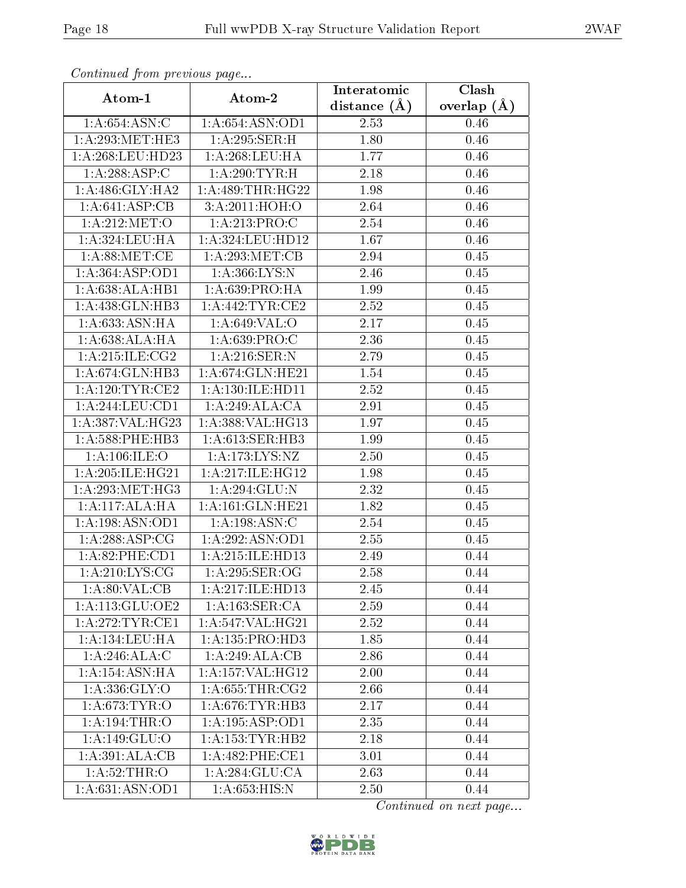| Continuea from previous page | Clash<br>Interatomic |                |                 |  |  |  |
|------------------------------|----------------------|----------------|-----------------|--|--|--|
| Atom-1                       | Atom-2               | distance $(A)$ | overlap $(\AA)$ |  |  |  |
| 1: A:654: ASN: C             | 1: A:654: ASN:OD1    | 2.53           | 0.46            |  |  |  |
| 1: A:293:MET:HE3             | 1:A:295:SER:H        | 1.80           | 0.46            |  |  |  |
| 1: A:268:LEU:HD23            | 1: A:268:LEU:HA      | 1.77           | 0.46            |  |  |  |
| 1:A:288:ASP:C                | 1:A:290:TYR:H        | 2.18           | 0.46            |  |  |  |
| 1: A:486: GLY:HA2            | 1: A:489:THR:HG22    | 1.98           | 0.46            |  |  |  |
| 1:A:641:ASP:CB               | 3:A:2011:HOH:O       | 2.64           | 0.46            |  |  |  |
| 1: A:212: MET:O              | 1: A:213: PRO:C      | 2.54           | 0.46            |  |  |  |
| 1:A:324:LEU:HA               | 1:A:324:LEU:HD12     | 1.67           | 0.46            |  |  |  |
| 1: A:88:MET:CE               | 1:A:293:MET:CB       | 2.94           | 0.45            |  |  |  |
| 1:A:364:ASP:OD1              | 1:A:366:LYS:N        | 2.46           | 0.45            |  |  |  |
| 1:A:638:ALA:HB1              | 1: A:639:PRO:HA      | 1.99           | 0.45            |  |  |  |
| 1:A:438:GLN:HB3              | 1: A:442:TYR:CE2     | 2.52           | 0.45            |  |  |  |
| 1: A:633:ASN:HA              | 1: A:649: VAL:O      | 2.17           | $0.45\,$        |  |  |  |
| 1: A:638:ALA:HA              | 1: A:639: PRO:C      | 2.36           | 0.45            |  |  |  |
| 1: A:215: ILE: CG2           | 1: A:216: SER: N     | 2.79           | 0.45            |  |  |  |
| 1:A:674:GLN:HB3              | 1: A:674: GLN: HE21  | 1.54           | 0.45            |  |  |  |
| 1:A:120:TYR:CE2              | 1:A:130:ILE:HD11     | 2.52           | 0.45            |  |  |  |
| 1:A:244:LEU:CD1              | 1:A:249:ALA:CA       | 2.91           | 0.45            |  |  |  |
| 1:A:387:VAL:HG23             | 1: A: 388: VAL: HG13 | 1.97           | 0.45            |  |  |  |
| 1: A:588:PHE:HB3             | 1: A:613: SER:HB3    | 1.99           | 0.45            |  |  |  |
| 1:A:106:ILE:O                | 1:A:173:LYS:NZ       | 2.50           | 0.45            |  |  |  |
| 1:A:205:ILE:HG21             | 1:A:217:ILE:HG12     | 1.98           | 0.45            |  |  |  |
| 1: A:293:MET:HG3             | 1:A:294:GLU:N        | 2.32           | 0.45            |  |  |  |
| 1:A:117:ALA:HA               | 1: A:161: GLN: HE21  | 1.82           | 0.45            |  |  |  |
| 1:A:198:ASN:OD1              | 1:A:198:ASN:C        | 2.54           | 0.45            |  |  |  |
| 1: A:288:ASP:CG              | 1: A:292: ASN:OD1    | 2.55           | 0.45            |  |  |  |
| 1:A:82:PHE:CD1               | 1:A:215:ILE:HD13     | 2.49           | 0.44            |  |  |  |
| $1: A:210: LYS: CG$          | 1:A:295:SER:OG       | 2.58           | 0.44            |  |  |  |
| 1: A:80: VAL:CB              | 1:A:217:ILE:HD13     | 2.45           | 0.44            |  |  |  |
| 1:A:113:GLU:OE2              | 1: A:163: SER:CA     | 2.59           | 0.44            |  |  |  |
| 1:A:272:TYR:CE1              | 1: A:547: VAL:HG21   | 2.52           | 0.44            |  |  |  |
| 1: A: 134: LEU: HA           | 1:A:135:PRO:HD3      | 1.85           | 0.44            |  |  |  |
| 1:A:246:ALA:C                | 1:A:249:ALA:CB       | 2.86           | 0.44            |  |  |  |
| 1:A:154:ASN:HA               | 1: A: 157: VAL: HG12 | 2.00           | 0.44            |  |  |  |
| 1: A: 336: GLY: O            | 1: A:655:THR:CG2     | 2.66           | 0.44            |  |  |  |
| 1: A:673:TYR:O               | 1: A:676:TYR:HB3     | 2.17           | 0.44            |  |  |  |
| 1:A:194:THR:O                | 1:A:195:ASP:OD1      | 2.35           | 0.44            |  |  |  |
| $1:$ A:149:GLU:O             | 1: A: 153: TYR: HB2  | 2.18           | 0.44            |  |  |  |
| 1: A:391: ALA:CB             | 1:A:482:PHE:CE1      | 3.01           | 0.44            |  |  |  |
| 1:A:52:THR:O                 | 1:A:284:GLU:CA       | 2.63           | 0.44            |  |  |  |
| 1:A:631:ASN:OD1              | 1:A:653:HIS:N        | 2.50           | 0.44            |  |  |  |

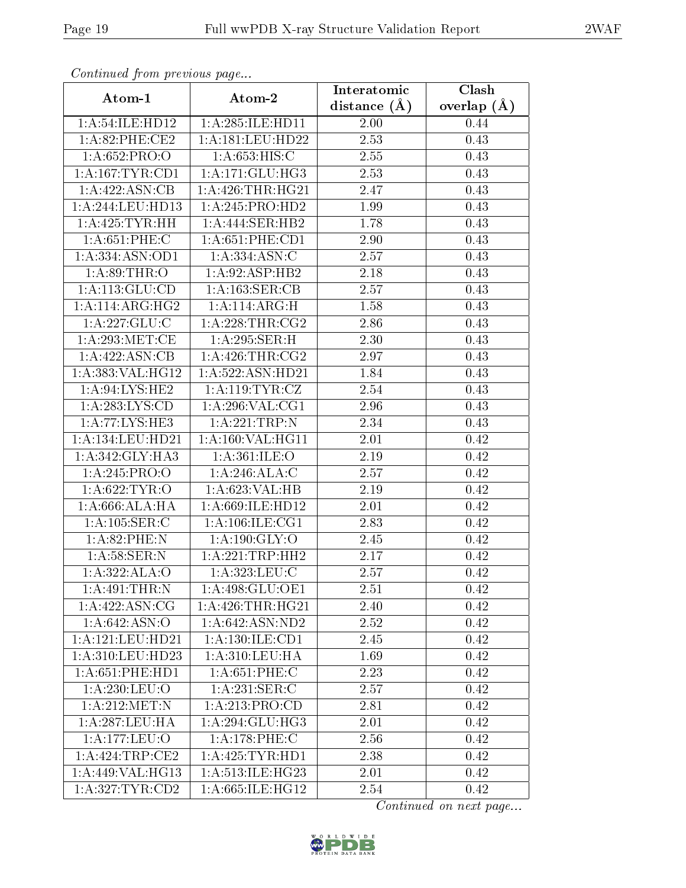| Commaca jibin previous page |                     | Interatomic    | Clash         |  |
|-----------------------------|---------------------|----------------|---------------|--|
| Atom-1                      | Atom-2              | distance $(A)$ | overlap $(A)$ |  |
| 1:A:54:ILE:HD12             | 1: A:285: ILE: HD11 | 2.00           | 0.44          |  |
| 1:A:82:PHE:CE2              | 1:A:181:LEU:HD22    | 2.53           | 0.43          |  |
| 1: A:652:PRO:O              | 1: A:653: HIS:C     | 2.55           | 0.43          |  |
| 1: A: 167: TYR: CD1         | 1:A:171:GLU:HG3     | 2.53           | 0.43          |  |
| 1: A:422: ASN:CB            | 1: A:426:THR:HG21   | 2.47           | 0.43          |  |
| 1: A:244:LEU:HD13           | 1:A:245:PRO:HD2     | 1.99           | 0.43          |  |
| 1: A:425: TYR: HH           | 1:A:444:SER:HB2     | 1.78           | 0.43          |  |
| 1: A:651:PHE: C             | 1: A:651:PHE:CD1    | 2.90           | 0.43          |  |
| 1:A:334:ASN:OD1             | 1: A: 334: ASN: C   | 2.57           | 0.43          |  |
| 1: A:89:THR:O               | 1: A:92: ASP:HB2    | 2.18           | 0.43          |  |
| 1:A:113:GLU:CD              | 1: A: 163: SER: CB  | 2.57           | 0.43          |  |
| 1:A:114:ARG:HG2             | 1:A:114:ARG:H       | 1.58           | 0.43          |  |
| 1:A:227:GLU:C               | 1:A:228:THR:CG2     | 2.86           | 0.43          |  |
| 1: A:293:MET:CE             | 1:A:295:SER:H       | 2.30           | 0.43          |  |
| 1:A:422:ASN:CB              | 1: A:426:THR:CG2    | 2.97           | 0.43          |  |
| 1: A: 383: VAL:HG12         | 1:A:522:ASN:HD21    | 1.84           | 0.43          |  |
| 1: A:94: LYS: HE2           | 1: A: 119: TYR: CZ  | 2.54           | 0.43          |  |
| 1:A:283:LYS:CD              | 1: A:296: VAL:CG1   | 2.96           | 0.43          |  |
| 1:A:77:LYS:HE3              | 1: A:221:TRP:N      | 2.34           | 0.43          |  |
| 1: A: 134: LEU: HD21        | 1:A:160:VAL:HG11    | 2.01           | 0.42          |  |
| 1:A:342:GLY:HA3             | 1: A:361: ILE:O     | 2.19           | 0.42          |  |
| 1: A:245: PRO:O             | 1:A:246:ALA:C       | 2.57           | 0.42          |  |
| 1: A:622:TYR:O              | 1:A:623:VAL:HB      | 2.19           | 0.42          |  |
| 1: A:666:ALA:HA             | 1: A:669: ILE: HD12 | 2.01           | 0.42          |  |
| 1: A: 105: SER: C           | 1: A: 106: ILE: CG1 | 2.83           | 0.42          |  |
| 1:A:82:PHE:N                | 1: A:190: GLY:O     | 2.45           | 0.42          |  |
| 1: A:58: SER: N             | 1:A:221:TRP:HH2     | 2.17           | 0.42          |  |
| 1:A:322:ALA:O               | 1: A: 323: LEU: C   | 2.57           | 0.42          |  |
| 1:A:491:THR:N               | 1:A:498:GLU:OE1     | 2.51           | 0.42          |  |
| 1: A:422: ASN: CG           | 1: A:426:THR:HG21   | 2.40           | 0.42          |  |
| 1:A:642:ASN:O               | 1:A:642:ASN:ND2     | 2.52           | 0.42          |  |
| 1: A:121: LEU: HD21         | 1: A: 130: ILE: CD1 | 2.45           | 0.42          |  |
| 1: A:310:LEU:HD23           | 1: A:310:LEU:HA     | 1.69           | 0.42          |  |
| 1: A:651:PHE:HD1            | 1: A:651:PHE:C      | 2.23           | 0.42          |  |
| 1: A:230:LEU:O              | 1: A:231: SER: C    | 2.57           | 0.42          |  |
| 1:A:212:MET:N               | 1:A:213:PRO:CD      | 2.81           | 0.42          |  |
| 1: A:287:LEU:HA             | 1: A:294: GLU:HG3   | 2.01           | 0.42          |  |
| 1:A:177:LEU:O               | 1: A:178: PHE: C    | 2.56           | 0.42          |  |
| 1:A:424:TRP:CE2             | 1: A:425: TYR: HD1  | 2.38           | 0.42          |  |
| 1:A:449:VAL:HG13            | 1:A:513:ILE:HG23    | 2.01           | 0.42          |  |
| 1: A:327: TYR:CD2           | 1:A:665:ILE:HG12    | 2.54           | 0.42          |  |

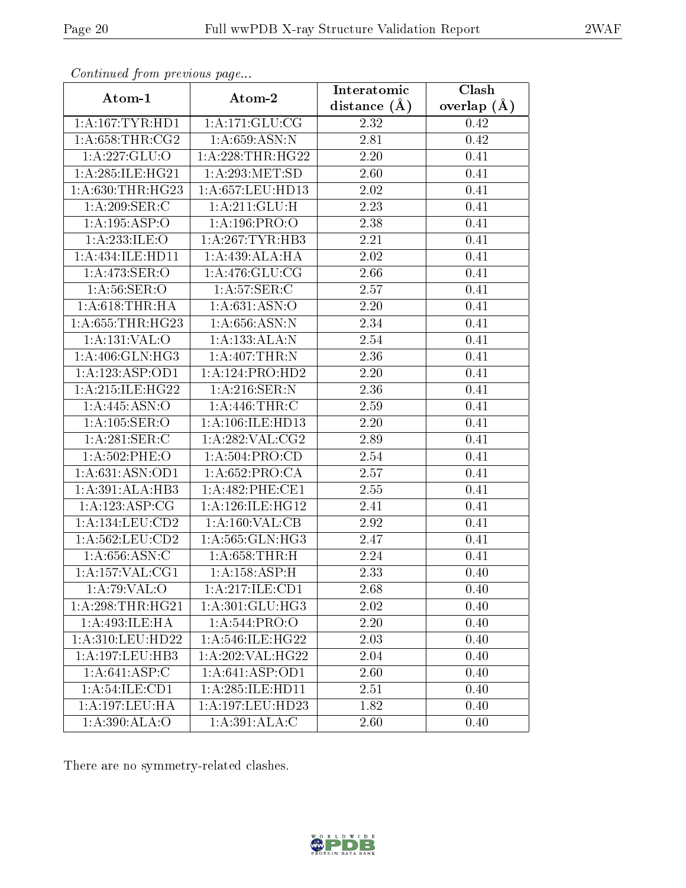| Commuca from previous page |                              | Interatomic       | Clash         |  |
|----------------------------|------------------------------|-------------------|---------------|--|
| Atom-1                     | Atom-2                       | distance $(A)$    | overlap $(A)$ |  |
| 1: A: 167: TYR: HD1        | 1: A:171: GLU:CG             | 2.32              | 0.42          |  |
| 1: A:658:THR:CG2           | 1: A:659: ASN:N              | 2.81              | 0.42          |  |
| 1:A:227:GLU:O              | 1: A:228:THR:HG22            | $2.20\,$          | 0.41          |  |
| 1:A:285:ILE:HG21           | 1:A:293:MET:SD               | 2.60              | 0.41          |  |
| 1: A:630:THR:HG23          | 1:A:657:LEU:HD13             | 2.02              | 0.41          |  |
| 1:A:209:SER:C              | 1:A:211:GLU:H                | 2.23              | 0.41          |  |
| 1:A:195:ASP:O              | 1: A: 196: PRO: O            | 2.38              | 0.41          |  |
| 1:A:233:ILE:O              | $1:A:267:TYR:\overline{HB3}$ | 2.21              | 0.41          |  |
| 1:A:434:ILE:HD11           | 1:A:439:ALA:HA               | 2.02              | 0.41          |  |
| 1: A:473: SER:O            | 1: A:476: GLU:CG             | 2.66              | 0.41          |  |
| 1: A:56: SER:O             | 1: A:57: SER: C              | 2.57              | 0.41          |  |
| 1: A:618:THR:HA            | 1: A:631: ASN:O              | 2.20              | 0.41          |  |
| 1:A:655:THR:HG23           | 1: A:656:ASN:N               | 2.34              | 0.41          |  |
| 1: A: 131: VAL: O          | 1:A:133:ALA:N                | 2.54              | 0.41          |  |
| 1: A:406: GLN: HG3         | $1:A:407$ : THR: N           | 2.36              | 0.41          |  |
| 1:A:123:ASP:OD1            | 1:A:124:PRO:HD2              | 2.20              | 0.41          |  |
| 1:A:215:ILE:HG22           | 1: A:216: SER: N             | 2.36              | 0.41          |  |
| 1: A:445: ASN:O            | 1:A:446:THR:C                | 2.59              | 0.41          |  |
| 1: A: 105: SER: O          | 1:A:106:ILE:HD13             | 2.20              | 0.41          |  |
| 1:A:281:SER:C              | 1: A:282: VAL: CG2           | 2.89              | 0.41          |  |
| 1:A:502:PHE:O              | 1: A:504:PRO:CD              | 2.54              | 0.41          |  |
| 1: A:631: ASN:OD1          | 1:A:652:PRO:CA               | 2.57              | 0.41          |  |
| 1:A:391:ALA:HB3            | 1:A:482:PHE:CE1              | 2.55              | 0.41          |  |
| 1: A: 123: ASP: CG         | 1: A:126: ILE: HG12          | 2.41              | 0.41          |  |
| 1:A:134:LEU:CD2            | 1: A:160: VAL:CB             | 2.92              | 0.41          |  |
| 1: A:562:LEU:CD2           | 1:A:565:GLN:HG3              | 2.47              | 0.41          |  |
| 1: A:656: ASN:C            | 1: A:658:THR:H               | 2.24              | 0.41          |  |
| 1: A: 157: VAL: CG1        | 1:A:158:ASP:H                | $\overline{2.33}$ | 0.40          |  |
| 1:A:79:VAL:O               | 1:A:217:ILE:CD1              | 2.68              | 0.40          |  |
| 1: A:298:THR:HG21          | 1:A:301:GLU:HG3              | 2.02              | 0.40          |  |
| 1: A:493: ILE: HA          | 1:A:544:PRO:O                | 2.20              | 0.40          |  |
| 1:A:310:LEU:HD22           | 1:A:546:ILE:HG22             | 2.03              | 0.40          |  |
| 1: A: 197: LEU: HB3        | 1:A:202:VAL:HG22             | 2.04              | 0.40          |  |
| 1:A:641:ASP:C              | 1:A:641:ASP:OD1              | 2.60              | 0.40          |  |
| 1: A:54: ILE: CD1          | 1: A:285: ILE:HD11           | 2.51              | 0.40          |  |
| 1:A:197:LEU:HA             | 1:A:197:LEU:HD23             | 1.82              | 0.40          |  |
| 1:A:390:ALA:O              | 1:A:391:ALA:C                | 2.60              | 0.40          |  |

There are no symmetry-related clashes.

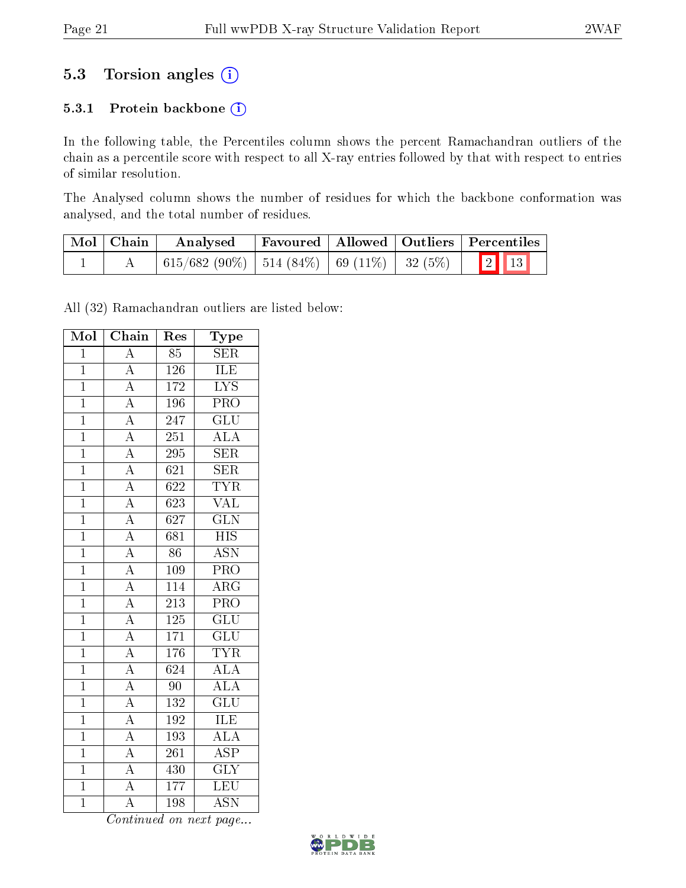## 5.3 Torsion angles (i)

### 5.3.1 Protein backbone (i)

In the following table, the Percentiles column shows the percent Ramachandran outliers of the chain as a percentile score with respect to all X-ray entries followed by that with respect to entries of similar resolution.

The Analysed column shows the number of residues for which the backbone conformation was analysed, and the total number of residues.

| Mol   Chain | Analysed |  | Favoured   Allowed   Outliers   Percentiles |
|-------------|----------|--|---------------------------------------------|
|             |          |  |                                             |

All (32) Ramachandran outliers are listed below:

| Mol            | Chain                               | Res              | Type                      |
|----------------|-------------------------------------|------------------|---------------------------|
| $\overline{1}$ | $\overline{A}$                      | $\overline{85}$  | <b>SER</b>                |
| $\mathbf{1}$   | $\overline{A}$                      | 126              | <b>ILE</b>                |
| $\overline{1}$ | $\overline{A}$                      | 172              | $\overline{\text{LYS}}$   |
| $\overline{1}$ | $\overline{A}$                      | 196              | PRO                       |
| $\overline{1}$ |                                     | 247              | $\overline{\text{GLU}}$   |
| $\overline{1}$ | $\frac{\overline{A}}{\overline{A}}$ | $\overline{251}$ | $\overline{\rm ALA}$      |
| $\overline{1}$ |                                     | 295              | <b>SER</b>                |
| $\overline{1}$ | $\frac{\overline{A}}{\overline{A}}$ | $\overline{621}$ | SER                       |
| $\mathbf 1$    |                                     | $\overline{622}$ | <b>TYR</b>                |
| $\mathbf 1$    | $\overline{A}$                      | 623              | <b>VAL</b>                |
| $\overline{1}$ | $\overline{A}$                      | 627              | $\overline{\text{GLN}}$   |
| $\overline{1}$ | $\frac{\overline{A}}{\overline{A}}$ | 681              | $\overline{HIS}$          |
| $\overline{1}$ |                                     | $\overline{86}$  | $\overline{\text{ASN}}$   |
| $\mathbf{1}$   |                                     | 109              | PRO                       |
| $\overline{1}$ | $\frac{\overline{A}}{\overline{A}}$ | $\overline{114}$ | $\overline{\rm{ARG}}$     |
| $\overline{1}$ |                                     | $\overline{213}$ | $\overline{\text{PRO}}$   |
| $\mathbf{1}$   | $\overline{A}$                      | $125\,$          | $\overline{\text{GLU}}$   |
| $\overline{1}$ | $\overline{A}$                      | $\overline{171}$ | $\overline{\text{GLU}}$   |
| $\overline{1}$ |                                     | 176              | <b>TYR</b>                |
| $\overline{1}$ | $\frac{\overline{A}}{\overline{A}}$ | $\overline{624}$ | $\overline{ALA}$          |
| $\mathbf{1}$   | $\overline{A}$                      | 90               | <b>ALA</b>                |
| $\mathbf{1}$   | $\frac{\overline{A}}{\overline{A}}$ | $\overline{132}$ | $\overline{{\rm GLU}}$    |
| $\overline{1}$ |                                     | 192              | ILE                       |
| $\mathbf{1}$   | $\overline{A}$                      | 193              | $\overline{\rm ALA}$      |
| $\overline{1}$ | $\overline{A}$                      | 261              | $\overline{\text{ASP}}$   |
| $\overline{1}$ | $\frac{\overline{A}}{\overline{A}}$ | 430              | $\overline{\text{GLY}}$   |
| $\overline{1}$ |                                     | 177              | $\overline{\text{LEU}}$   |
| $\overline{1}$ | $\overline{\rm A}$                  | 198              | $\overline{\mathrm{ASN}}$ |

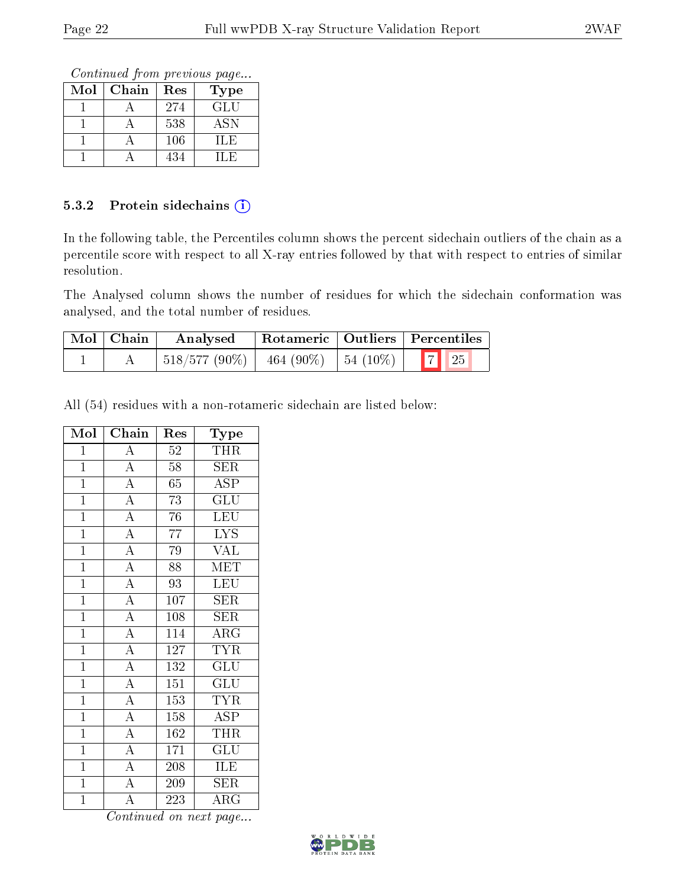Continued from previous page...

| Mol | Chain | Res | <b>Type</b> |
|-----|-------|-----|-------------|
|     |       | 274 | GLU         |
|     |       | 538 | ASN         |
|     |       | 106 | H.E         |
|     |       | 434 | IL E        |

#### 5.3.2 Protein sidechains (i)

In the following table, the Percentiles column shows the percent sidechain outliers of the chain as a percentile score with respect to all X-ray entries followed by that with respect to entries of similar resolution.

The Analysed column shows the number of residues for which the sidechain conformation was analysed, and the total number of residues.

| Mol   Chain | Analysed          |                      | Rotameric   Outliers   Percentiles |
|-------------|-------------------|----------------------|------------------------------------|
|             | $ 518/577(90\%) $ | 464 (90%)   54 (10%) | $\boxed{7}$ 25                     |

All (54) residues with a non-rotameric sidechain are listed below:

| Mol            | Chain                               | Res              | Type                    |
|----------------|-------------------------------------|------------------|-------------------------|
| $\mathbf{1}$   | $\rm A$                             | 52               | THR                     |
| $\overline{1}$ | $\overline{A}$                      | 58               | <b>SER</b>              |
| $\overline{1}$ | $\frac{\overline{A}}{\overline{A}}$ | $\overline{65}$  | <b>ASP</b>              |
| $\mathbf{1}$   |                                     | 73               | GLU                     |
| $\overline{1}$ |                                     | 76               | $\overline{\text{LEU}}$ |
| $\overline{1}$ | $\frac{\overline{A}}{\overline{A}}$ | 77               | <b>LYS</b>              |
| $\overline{1}$ | $\overline{A}$                      | 79               | $\overline{\text{VAL}}$ |
| $\mathbf{1}$   | $\frac{\overline{A}}{\overline{A}}$ | 88               | MET                     |
| $\overline{1}$ |                                     | 93               | <b>LEU</b>              |
| $\overline{1}$ | $\overline{A}$                      | 107              | SER                     |
| $\overline{1}$ | $\frac{\overline{A}}{\overline{A}}$ | 108              | <b>SER</b>              |
| $\overline{1}$ |                                     | 114              | $\overline{\rm{ARG}}$   |
| $\mathbf{1}$   | $\overline{A}$                      | 127              | <b>TYR</b>              |
| $\mathbf{1}$   | $\overline{A}$                      | 132              | $\mathrm{GLU}$          |
| $\overline{1}$ | $\overline{A}$                      | 151              | $\overline{\text{GLU}}$ |
| $\mathbf{1}$   | $\overline{A}$                      | 153              | <b>TYR</b>              |
| $\mathbf{1}$   | $\overline{A}$                      | 158              | $\overline{\rm ASP}$    |
| $\overline{1}$ |                                     | 162              | <b>THR</b>              |
| $\overline{1}$ | $\frac{\overline{A}}{\overline{A}}$ | $\overline{171}$ | $\overline{{\rm GLU}}$  |
| $\overline{1}$ |                                     | 208              | ILE                     |
| $\mathbf{1}$   | $\overline{A}$                      | 209              | $\bar{\text{SER}}$      |
| $\overline{1}$ | $\overline{\rm A}$                  | 223              | ${\rm ARG}$             |

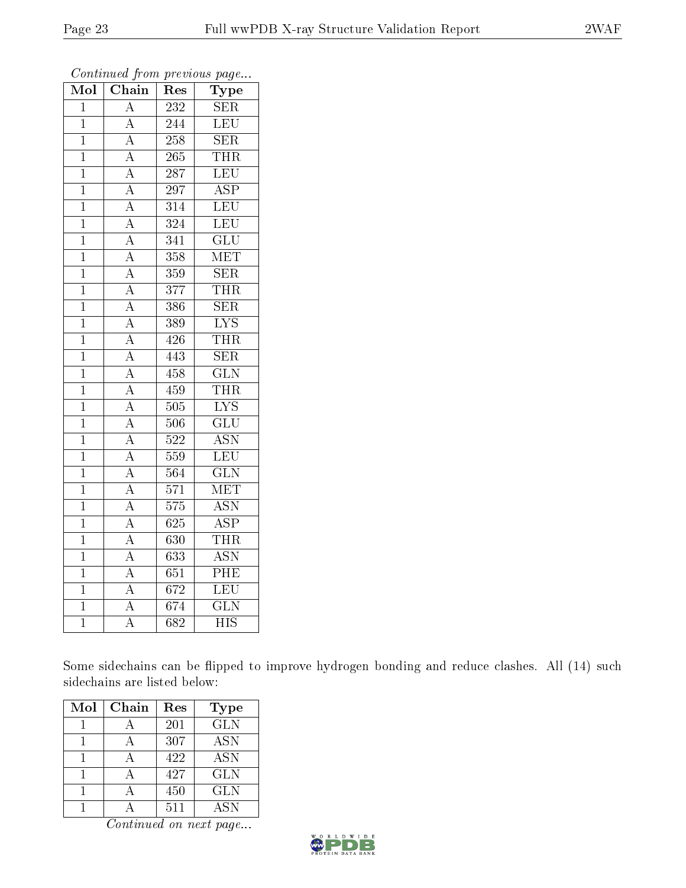| Mol            | Chain              | Res              | Type                      |
|----------------|--------------------|------------------|---------------------------|
| $\overline{1}$ | $\overline{\rm A}$ | 232              | $\overline{\text{SER}}$   |
| $\mathbf{1}$   | $\overline{\rm A}$ | 244              | LEU                       |
| $\overline{1}$ | $\overline{A}$     | $\overline{258}$ | <b>SER</b>                |
| $\overline{1}$ | $\overline{A}$     | 265              | <b>THR</b>                |
| $\overline{1}$ | $\overline{A}$     | $\overline{287}$ | $\overline{\text{LEU}}$   |
| $\mathbf{1}$   | $\overline{A}$     | 297              | <b>ASP</b>                |
| $\mathbf{1}$   | $\overline{A}$     | $\overline{314}$ | LEU                       |
| $\mathbf{1}$   | $\overline{A}$     | 324              | LEU                       |
| $\overline{1}$ | $\overline{A}$     | $\overline{3}41$ | $\overline{\text{GLU}}$   |
| $\overline{1}$ | $\overline{A}$     | 358              | $\overline{\text{MET}}$   |
| $\mathbf{1}$   | $\overline{A}$     | 359              | SER                       |
| $\overline{1}$ | $\overline{\rm A}$ | $\overline{377}$ | <b>THR</b>                |
| $\overline{1}$ | $\overline{A}$     | 386              | $\overline{\text{SER}}$   |
| $\mathbf 1$    | $\overline{A}$     | 389              | $\overline{\text{LYS}}$   |
| $\overline{1}$ | $\overline{A}$     | 426              | THR                       |
| $\overline{1}$ | $\overline{A}$     | 443              | $\overline{\text{SER}}$   |
| $\overline{1}$ | $\overline{A}$     | 458              | $\overline{\text{GLN}}$   |
| $\mathbf{1}$   | $\overline{A}$     | 459              | <b>THR</b>                |
| $\mathbf{1}$   | $\overline{A}$     | 505              | $\overline{\text{LYS}}$   |
| $\overline{1}$ | $\overline{A}$     | 506              | $\overline{{\rm GLU}}$    |
| $\overline{1}$ | $\overline{A}$     | $\overline{522}$ | $\overline{\mathrm{ASN}}$ |
| $\mathbf{1}$   | $\overline{A}$     | 559              | LEU                       |
| $\overline{1}$ | $\overline{A}$     | 564              | $\overline{\text{GLN}}$   |
| $\overline{1}$ | $\overline{A}$     | $\overline{571}$ | <b>MET</b>                |
| $\overline{1}$ | $\overline{A}$     | 575              | $\overline{ASN}$          |
| $\mathbf{1}$   | $\overline{\rm A}$ | 625              | $\overline{\text{ASP}}$   |
| $\overline{1}$ | $\overline{A}$     | $\overline{630}$ | <b>THR</b>                |
| $\overline{1}$ | $\overline{A}$     | $\overline{63}3$ | $\overline{\text{ASN}}$   |
| $\overline{1}$ | $\overline{A}$     | $\overline{651}$ | $\overline{\rm{PHE}}$     |
| $\overline{1}$ | $\overline{\rm A}$ | $\overline{672}$ | LEU                       |
| $\mathbf{1}$   | $\overline{A}$     | 674              | $\overline{\text{GLN}}$   |
| $\bar{1}$      | $\overline{\rm A}$ | 682              | $\overline{\mathrm{HIS}}$ |

Some sidechains can be flipped to improve hydrogen bonding and reduce clashes. All (14) such sidechains are listed below:

| Mol | Chain | $\operatorname{Res}% \left( \mathcal{N}\right) \equiv\operatorname{Res}(\mathcal{N}_{0},\mathcal{N}_{0})$ | Type       |
|-----|-------|-----------------------------------------------------------------------------------------------------------|------------|
|     |       | 201                                                                                                       | <b>GLN</b> |
|     |       | 307                                                                                                       | <b>ASN</b> |
|     |       | 422                                                                                                       | <b>ASN</b> |
|     |       | 427                                                                                                       | <b>GLN</b> |
|     |       | 450                                                                                                       | <b>GLN</b> |
|     |       | 511                                                                                                       | <b>ASN</b> |

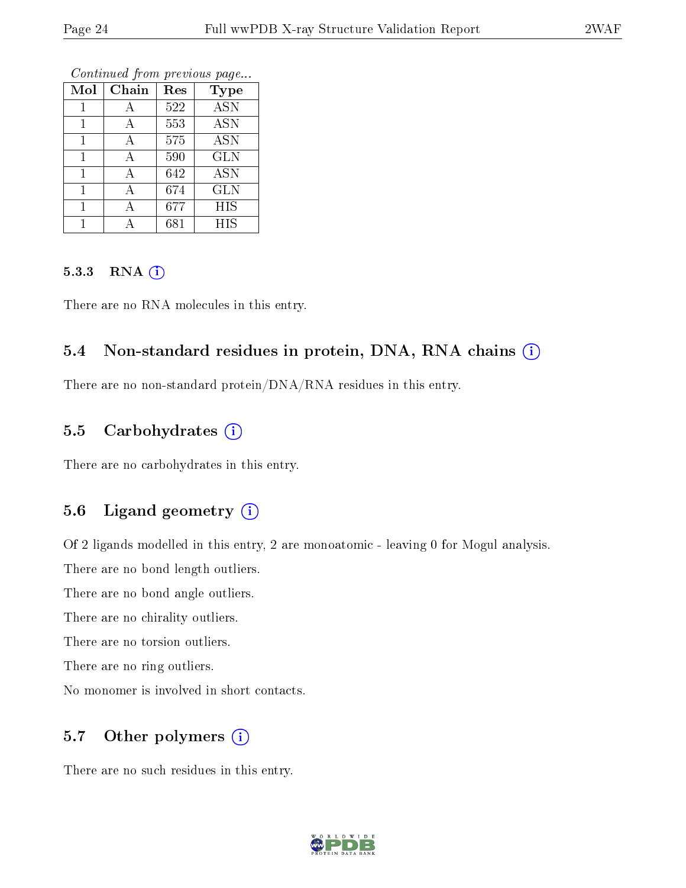| Mol | Chain | Res | <b>Type</b>      |
|-----|-------|-----|------------------|
|     | А     | 522 | $\overline{ASN}$ |
|     | А     | 553 | <b>ASN</b>       |
|     | А     | 575 | <b>ASN</b>       |
|     | А     | 590 | <b>GLN</b>       |
|     | А     | 642 | $\overline{ASN}$ |
|     | А     | 674 | <b>GLN</b>       |
|     | А     | 677 | <b>HIS</b>       |
|     |       | 681 | <b>HIS</b>       |

#### 5.3.3 RNA (i)

There are no RNA molecules in this entry.

### 5.4 Non-standard residues in protein, DNA, RNA chains (i)

There are no non-standard protein/DNA/RNA residues in this entry.

### 5.5 Carbohydrates (i)

There are no carbohydrates in this entry.

### 5.6 Ligand geometry (i)

Of 2 ligands modelled in this entry, 2 are monoatomic - leaving 0 for Mogul analysis.

There are no bond length outliers.

There are no bond angle outliers.

There are no chirality outliers.

There are no torsion outliers.

There are no ring outliers.

No monomer is involved in short contacts.

### 5.7 [O](https://www.wwpdb.org/validation/2017/XrayValidationReportHelp#nonstandard_residues_and_ligands)ther polymers  $(i)$

There are no such residues in this entry.

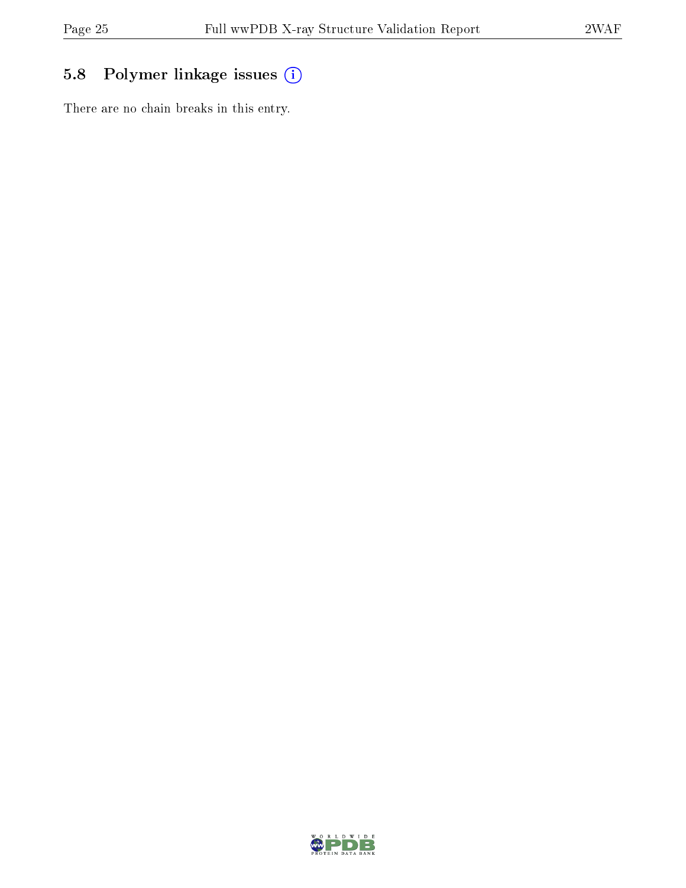## 5.8 Polymer linkage issues (i)

There are no chain breaks in this entry.

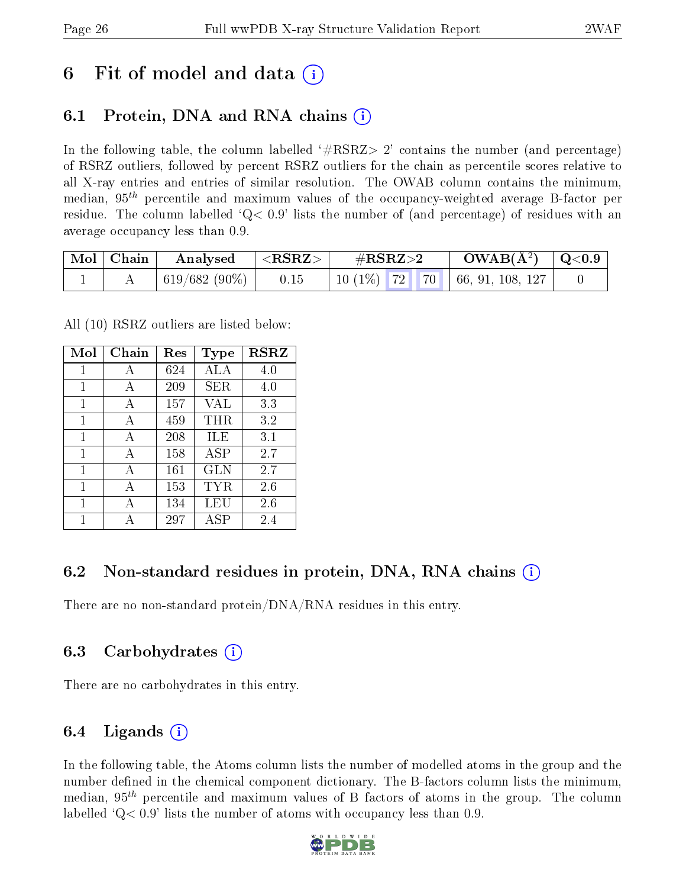## 6 Fit of model and data  $\left( \cdot \right)$

## 6.1 Protein, DNA and RNA chains (i)

In the following table, the column labelled  $#RSRZ>2'$  contains the number (and percentage) of RSRZ outliers, followed by percent RSRZ outliers for the chain as percentile scores relative to all X-ray entries and entries of similar resolution. The OWAB column contains the minimum, median,  $95<sup>th</sup>$  percentile and maximum values of the occupancy-weighted average B-factor per residue. The column labelled  $Q< 0.9$  lists the number of (and percentage) of residues with an average occupancy less than 0.9.

| $\vert$ Mol $\vert$ Chain | Analysed      | $<$ RSRZ $>$ | $\#\text{RSRZ}\text{>2}$                   | $\rm{OWAB}(\AA^2)$ $\vert$ Q<0.9 $\vert$ |  |
|---------------------------|---------------|--------------|--------------------------------------------|------------------------------------------|--|
|                           | 619/682 (90%) | 0.15         | $\frac{1}{10}$ (1%) 72 70 66, 91, 108, 127 |                                          |  |

All (10) RSRZ outliers are listed below:

| Mol          | Chain | Res | <b>Type</b> | <b>RSRZ</b> |  |
|--------------|-------|-----|-------------|-------------|--|
| 1            | А     | 624 | ALA         | 4.0         |  |
| $\mathbf{1}$ | A     | 209 | SER         | 4.0         |  |
| 1            | A     | 157 | VAL         | 3.3         |  |
| 1            | A     | 459 | THR         | 3.2         |  |
| 1            | А     | 208 | ILE         | 3.1         |  |
| 1            | A     | 158 | ASP         | 2.7         |  |
| 1            | A     | 161 | GLN         | 2.7         |  |
| 1            | A     | 153 | TYR         | 2.6         |  |
| 1            | А     | 134 | LEU         | 2.6         |  |
| 1            |       | 297 | ASP         | 2.4         |  |

### 6.2 Non-standard residues in protein, DNA, RNA chains (i)

There are no non-standard protein/DNA/RNA residues in this entry.

### 6.3 Carbohydrates (i)

There are no carbohydrates in this entry.

### 6.4 Ligands  $(i)$

In the following table, the Atoms column lists the number of modelled atoms in the group and the number defined in the chemical component dictionary. The B-factors column lists the minimum, median,  $95<sup>th</sup>$  percentile and maximum values of B factors of atoms in the group. The column labelled  $Q< 0.9$ ' lists the number of atoms with occupancy less than 0.9.